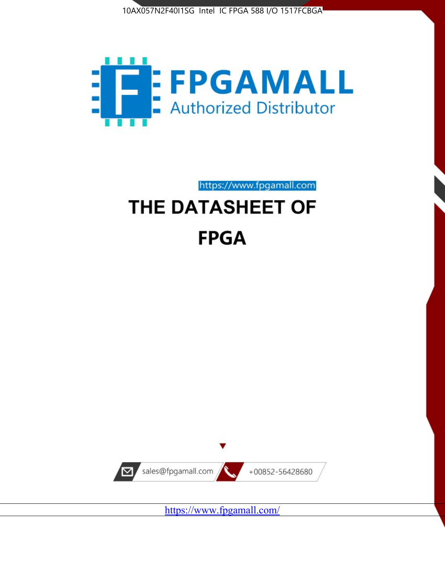



https://www.fpgamall.com

# THE DATASHEET OF **FPGA**



<https://www.fpgamall.com/>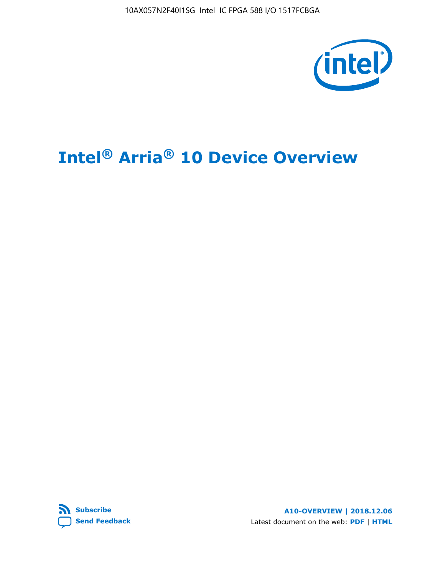10AX057N2F40I1SG Intel IC FPGA 588 I/O 1517FCBGA



# **Intel® Arria® 10 Device Overview**



**A10-OVERVIEW | 2018.12.06** Latest document on the web: **[PDF](https://www.intel.com/content/dam/www/programmable/us/en/pdfs/literature/hb/arria-10/a10_overview.pdf)** | **[HTML](https://www.intel.com/content/www/us/en/programmable/documentation/sam1403480274650.html)**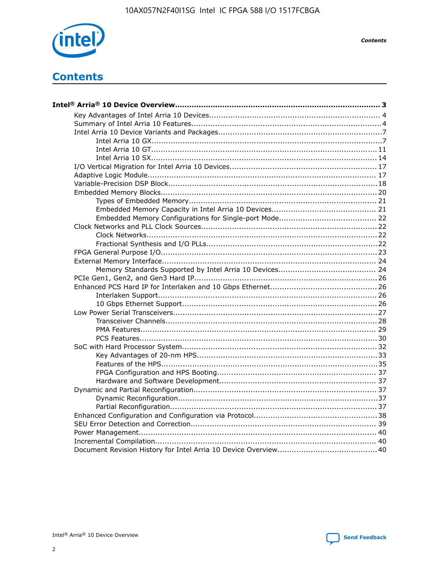

**Contents** 

# **Contents**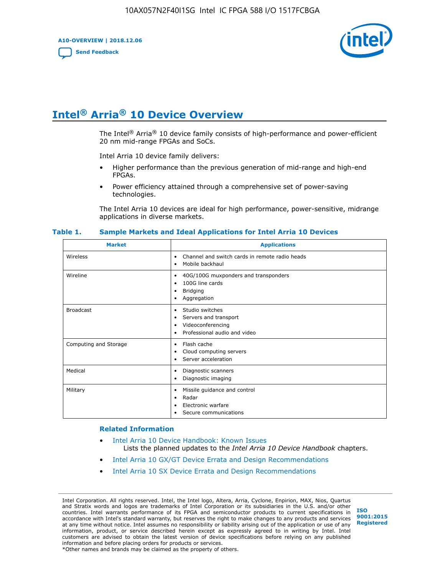**A10-OVERVIEW | 2018.12.06**

**[Send Feedback](mailto:FPGAtechdocfeedback@intel.com?subject=Feedback%20on%20Intel%20Arria%2010%20Device%20Overview%20(A10-OVERVIEW%202018.12.06)&body=We%20appreciate%20your%20feedback.%20In%20your%20comments,%20also%20specify%20the%20page%20number%20or%20paragraph.%20Thank%20you.)**



# **Intel® Arria® 10 Device Overview**

The Intel<sup>®</sup> Arria<sup>®</sup> 10 device family consists of high-performance and power-efficient 20 nm mid-range FPGAs and SoCs.

Intel Arria 10 device family delivers:

- Higher performance than the previous generation of mid-range and high-end FPGAs.
- Power efficiency attained through a comprehensive set of power-saving technologies.

The Intel Arria 10 devices are ideal for high performance, power-sensitive, midrange applications in diverse markets.

| <b>Market</b>         | <b>Applications</b>                                                                                                       |
|-----------------------|---------------------------------------------------------------------------------------------------------------------------|
| Wireless              | Channel and switch cards in remote radio heads<br>$\bullet$<br>Mobile backhaul<br>٠                                       |
| Wireline              | 40G/100G muxponders and transponders<br>٠<br>100G line cards<br>٠<br><b>Bridging</b><br>٠<br>Aggregation<br>٠             |
| <b>Broadcast</b>      | Studio switches<br>$\bullet$<br>Servers and transport<br>٠<br>Videoconferencing<br>٠<br>Professional audio and video<br>٠ |
| Computing and Storage | Flash cache<br>$\bullet$<br>Cloud computing servers<br>٠<br>Server acceleration<br>٠                                      |
| Medical               | Diagnostic scanners<br>٠<br>Diagnostic imaging<br>٠                                                                       |
| Military              | Missile guidance and control<br>٠<br>Radar<br>٠<br>Electronic warfare<br>٠<br>Secure communications                       |

#### **Table 1. Sample Markets and Ideal Applications for Intel Arria 10 Devices**

#### **Related Information**

- [Intel Arria 10 Device Handbook: Known Issues](http://www.altera.com/support/kdb/solutions/rd07302013_646.html) Lists the planned updates to the *Intel Arria 10 Device Handbook* chapters.
- [Intel Arria 10 GX/GT Device Errata and Design Recommendations](https://www.intel.com/content/www/us/en/programmable/documentation/agz1493851706374.html#yqz1494433888646)
- [Intel Arria 10 SX Device Errata and Design Recommendations](https://www.intel.com/content/www/us/en/programmable/documentation/cru1462832385668.html#cru1462832558642)

Intel Corporation. All rights reserved. Intel, the Intel logo, Altera, Arria, Cyclone, Enpirion, MAX, Nios, Quartus and Stratix words and logos are trademarks of Intel Corporation or its subsidiaries in the U.S. and/or other countries. Intel warrants performance of its FPGA and semiconductor products to current specifications in accordance with Intel's standard warranty, but reserves the right to make changes to any products and services at any time without notice. Intel assumes no responsibility or liability arising out of the application or use of any information, product, or service described herein except as expressly agreed to in writing by Intel. Intel customers are advised to obtain the latest version of device specifications before relying on any published information and before placing orders for products or services. \*Other names and brands may be claimed as the property of others.

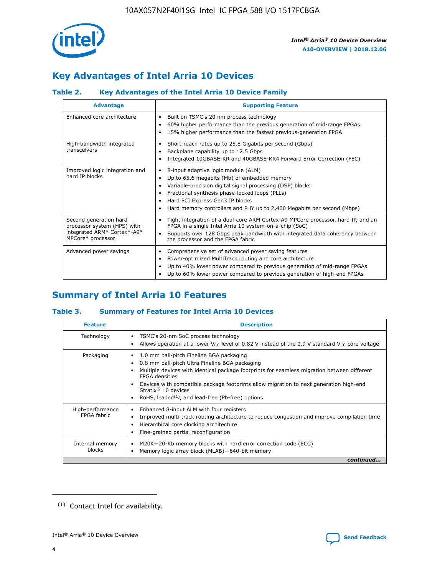

# **Key Advantages of Intel Arria 10 Devices**

# **Table 2. Key Advantages of the Intel Arria 10 Device Family**

| <b>Advantage</b>                                                                                          | <b>Supporting Feature</b>                                                                                                                                                                                                                                                                                                |  |  |  |  |  |
|-----------------------------------------------------------------------------------------------------------|--------------------------------------------------------------------------------------------------------------------------------------------------------------------------------------------------------------------------------------------------------------------------------------------------------------------------|--|--|--|--|--|
| Enhanced core architecture                                                                                | Built on TSMC's 20 nm process technology<br>٠<br>60% higher performance than the previous generation of mid-range FPGAs<br>٠<br>15% higher performance than the fastest previous-generation FPGA<br>٠                                                                                                                    |  |  |  |  |  |
| High-bandwidth integrated<br>transceivers                                                                 | Short-reach rates up to 25.8 Gigabits per second (Gbps)<br>٠<br>Backplane capability up to 12.5 Gbps<br>٠<br>Integrated 10GBASE-KR and 40GBASE-KR4 Forward Error Correction (FEC)<br>٠                                                                                                                                   |  |  |  |  |  |
| Improved logic integration and<br>hard IP blocks                                                          | 8-input adaptive logic module (ALM)<br>٠<br>Up to 65.6 megabits (Mb) of embedded memory<br>٠<br>Variable-precision digital signal processing (DSP) blocks<br>Fractional synthesis phase-locked loops (PLLs)<br>Hard PCI Express Gen3 IP blocks<br>Hard memory controllers and PHY up to 2,400 Megabits per second (Mbps) |  |  |  |  |  |
| Second generation hard<br>processor system (HPS) with<br>integrated ARM* Cortex*-A9*<br>MPCore* processor | Tight integration of a dual-core ARM Cortex-A9 MPCore processor, hard IP, and an<br>٠<br>FPGA in a single Intel Arria 10 system-on-a-chip (SoC)<br>Supports over 128 Gbps peak bandwidth with integrated data coherency between<br>$\bullet$<br>the processor and the FPGA fabric                                        |  |  |  |  |  |
| Advanced power savings                                                                                    | Comprehensive set of advanced power saving features<br>٠<br>Power-optimized MultiTrack routing and core architecture<br>٠<br>Up to 40% lower power compared to previous generation of mid-range FPGAs<br>Up to 60% lower power compared to previous generation of high-end FPGAs                                         |  |  |  |  |  |

# **Summary of Intel Arria 10 Features**

## **Table 3. Summary of Features for Intel Arria 10 Devices**

| <b>Feature</b>                  | <b>Description</b>                                                                                                                                                                                                                                                                                                                                                                                           |
|---------------------------------|--------------------------------------------------------------------------------------------------------------------------------------------------------------------------------------------------------------------------------------------------------------------------------------------------------------------------------------------------------------------------------------------------------------|
| Technology                      | TSMC's 20-nm SoC process technology<br>Allows operation at a lower $V_{\text{CC}}$ level of 0.82 V instead of the 0.9 V standard $V_{\text{CC}}$ core voltage                                                                                                                                                                                                                                                |
| Packaging                       | 1.0 mm ball-pitch Fineline BGA packaging<br>٠<br>0.8 mm ball-pitch Ultra Fineline BGA packaging<br>Multiple devices with identical package footprints for seamless migration between different<br><b>FPGA</b> densities<br>Devices with compatible package footprints allow migration to next generation high-end<br>Stratix <sup>®</sup> 10 devices<br>RoHS, leaded $(1)$ , and lead-free (Pb-free) options |
| High-performance<br>FPGA fabric | Enhanced 8-input ALM with four registers<br>Improved multi-track routing architecture to reduce congestion and improve compilation time<br>Hierarchical core clocking architecture<br>Fine-grained partial reconfiguration                                                                                                                                                                                   |
| Internal memory<br>blocks       | M20K-20-Kb memory blocks with hard error correction code (ECC)<br>Memory logic array block (MLAB)-640-bit memory                                                                                                                                                                                                                                                                                             |
|                                 | continued                                                                                                                                                                                                                                                                                                                                                                                                    |



<sup>(1)</sup> Contact Intel for availability.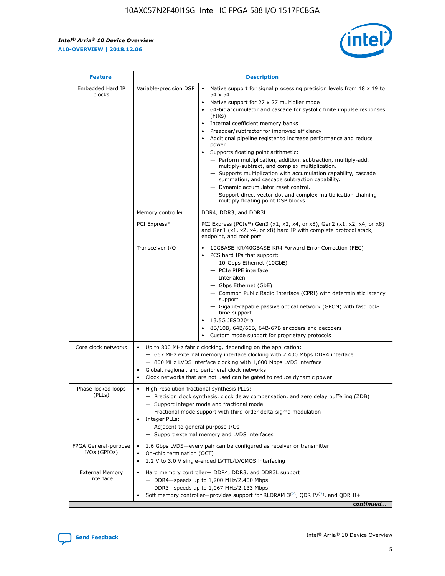r



| <b>Feature</b>                         |                                                                                                                | <b>Description</b>                                                                                                                                                                                                                                                                                                                                                                                                                                                                                                                                                                                                                                                                                                                                                                                                                                               |
|----------------------------------------|----------------------------------------------------------------------------------------------------------------|------------------------------------------------------------------------------------------------------------------------------------------------------------------------------------------------------------------------------------------------------------------------------------------------------------------------------------------------------------------------------------------------------------------------------------------------------------------------------------------------------------------------------------------------------------------------------------------------------------------------------------------------------------------------------------------------------------------------------------------------------------------------------------------------------------------------------------------------------------------|
| Embedded Hard IP<br>blocks             | Variable-precision DSP                                                                                         | Native support for signal processing precision levels from $18 \times 19$ to<br>$\bullet$<br>54 x 54<br>Native support for 27 x 27 multiplier mode<br>$\bullet$<br>64-bit accumulator and cascade for systolic finite impulse responses<br>(FIRs)<br>Internal coefficient memory banks<br>$\bullet$<br>Preadder/subtractor for improved efficiency<br>Additional pipeline register to increase performance and reduce<br>power<br>Supports floating point arithmetic:<br>- Perform multiplication, addition, subtraction, multiply-add,<br>multiply-subtract, and complex multiplication.<br>- Supports multiplication with accumulation capability, cascade<br>summation, and cascade subtraction capability.<br>- Dynamic accumulator reset control.<br>- Support direct vector dot and complex multiplication chaining<br>multiply floating point DSP blocks. |
|                                        | Memory controller                                                                                              | DDR4, DDR3, and DDR3L                                                                                                                                                                                                                                                                                                                                                                                                                                                                                                                                                                                                                                                                                                                                                                                                                                            |
|                                        | PCI Express*                                                                                                   | PCI Express (PCIe*) Gen3 (x1, x2, x4, or x8), Gen2 (x1, x2, x4, or x8)<br>and Gen1 (x1, x2, x4, or x8) hard IP with complete protocol stack,<br>endpoint, and root port                                                                                                                                                                                                                                                                                                                                                                                                                                                                                                                                                                                                                                                                                          |
|                                        | Transceiver I/O                                                                                                | 10GBASE-KR/40GBASE-KR4 Forward Error Correction (FEC)<br>PCS hard IPs that support:<br>- 10-Gbps Ethernet (10GbE)<br>- PCIe PIPE interface<br>- Interlaken<br>- Gbps Ethernet (GbE)<br>- Common Public Radio Interface (CPRI) with deterministic latency<br>support<br>- Gigabit-capable passive optical network (GPON) with fast lock-<br>time support<br>13.5G JESD204b<br>$\bullet$<br>8B/10B, 64B/66B, 64B/67B encoders and decoders<br>Custom mode support for proprietary protocols                                                                                                                                                                                                                                                                                                                                                                        |
| Core clock networks                    | $\bullet$                                                                                                      | Up to 800 MHz fabric clocking, depending on the application:<br>- 667 MHz external memory interface clocking with 2,400 Mbps DDR4 interface<br>- 800 MHz LVDS interface clocking with 1,600 Mbps LVDS interface<br>Global, regional, and peripheral clock networks<br>Clock networks that are not used can be gated to reduce dynamic power                                                                                                                                                                                                                                                                                                                                                                                                                                                                                                                      |
| Phase-locked loops<br>(PLLs)           | High-resolution fractional synthesis PLLs:<br>$\bullet$<br>Integer PLLs:<br>- Adjacent to general purpose I/Os | - Precision clock synthesis, clock delay compensation, and zero delay buffering (ZDB)<br>- Support integer mode and fractional mode<br>- Fractional mode support with third-order delta-sigma modulation<br>- Support external memory and LVDS interfaces                                                                                                                                                                                                                                                                                                                                                                                                                                                                                                                                                                                                        |
| FPGA General-purpose<br>$I/Os$ (GPIOs) | On-chip termination (OCT)<br>٠<br>$\bullet$                                                                    | 1.6 Gbps LVDS-every pair can be configured as receiver or transmitter<br>1.2 V to 3.0 V single-ended LVTTL/LVCMOS interfacing                                                                                                                                                                                                                                                                                                                                                                                                                                                                                                                                                                                                                                                                                                                                    |
| <b>External Memory</b><br>Interface    | $\bullet$                                                                                                      | Hard memory controller- DDR4, DDR3, and DDR3L support<br>$-$ DDR4-speeds up to 1,200 MHz/2,400 Mbps<br>- DDR3-speeds up to 1,067 MHz/2,133 Mbps<br>Soft memory controller—provides support for RLDRAM $3^{(2)}$ , QDR IV $^{(2)}$ , and QDR II+<br>continued                                                                                                                                                                                                                                                                                                                                                                                                                                                                                                                                                                                                     |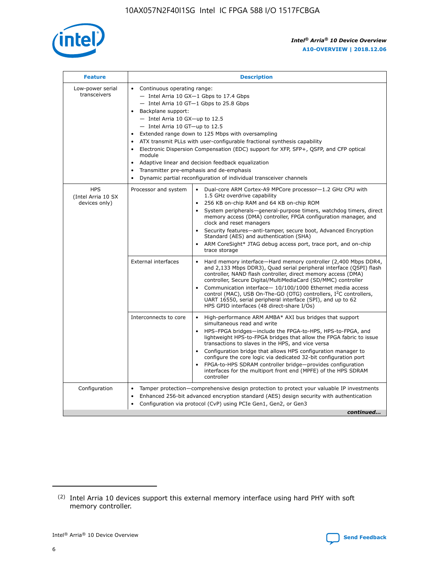

| <b>Feature</b>                                    | <b>Description</b>                                                                                                                                                                                                                                                                                                                                                                                                                                                                                                                                                                                                                         |
|---------------------------------------------------|--------------------------------------------------------------------------------------------------------------------------------------------------------------------------------------------------------------------------------------------------------------------------------------------------------------------------------------------------------------------------------------------------------------------------------------------------------------------------------------------------------------------------------------------------------------------------------------------------------------------------------------------|
| Low-power serial<br>transceivers                  | • Continuous operating range:<br>- Intel Arria 10 GX-1 Gbps to 17.4 Gbps<br>- Intel Arria 10 GT-1 Gbps to 25.8 Gbps<br>Backplane support:<br>$-$ Intel Arria 10 GX-up to 12.5<br>- Intel Arria 10 GT-up to 12.5<br>Extended range down to 125 Mbps with oversampling<br>ATX transmit PLLs with user-configurable fractional synthesis capability<br>Electronic Dispersion Compensation (EDC) support for XFP, SFP+, QSFP, and CFP optical<br>module<br>• Adaptive linear and decision feedback equalization<br>Transmitter pre-emphasis and de-emphasis<br>$\bullet$<br>Dynamic partial reconfiguration of individual transceiver channels |
| <b>HPS</b><br>(Intel Arria 10 SX<br>devices only) | Dual-core ARM Cortex-A9 MPCore processor-1.2 GHz CPU with<br>Processor and system<br>$\bullet$<br>1.5 GHz overdrive capability<br>256 KB on-chip RAM and 64 KB on-chip ROM<br>System peripherals-general-purpose timers, watchdog timers, direct<br>memory access (DMA) controller, FPGA configuration manager, and<br>clock and reset managers<br>Security features-anti-tamper, secure boot, Advanced Encryption<br>$\bullet$<br>Standard (AES) and authentication (SHA)<br>ARM CoreSight* JTAG debug access port, trace port, and on-chip<br>trace storage                                                                              |
|                                                   | <b>External interfaces</b><br>Hard memory interface-Hard memory controller (2,400 Mbps DDR4,<br>$\bullet$<br>and 2,133 Mbps DDR3), Quad serial peripheral interface (QSPI) flash<br>controller, NAND flash controller, direct memory access (DMA)<br>controller, Secure Digital/MultiMediaCard (SD/MMC) controller<br>Communication interface-10/100/1000 Ethernet media access<br>$\bullet$<br>control (MAC), USB On-The-GO (OTG) controllers, I <sup>2</sup> C controllers,<br>UART 16550, serial peripheral interface (SPI), and up to 62<br>HPS GPIO interfaces (48 direct-share I/Os)                                                 |
|                                                   | High-performance ARM AMBA* AXI bus bridges that support<br>Interconnects to core<br>$\bullet$<br>simultaneous read and write<br>HPS-FPGA bridges-include the FPGA-to-HPS, HPS-to-FPGA, and<br>$\bullet$<br>lightweight HPS-to-FPGA bridges that allow the FPGA fabric to issue<br>transactions to slaves in the HPS, and vice versa<br>Configuration bridge that allows HPS configuration manager to<br>configure the core logic via dedicated 32-bit configuration port<br>FPGA-to-HPS SDRAM controller bridge-provides configuration<br>interfaces for the multiport front end (MPFE) of the HPS SDRAM<br>controller                     |
| Configuration                                     | Tamper protection—comprehensive design protection to protect your valuable IP investments<br>Enhanced 256-bit advanced encryption standard (AES) design security with authentication<br>٠<br>Configuration via protocol (CvP) using PCIe Gen1, Gen2, or Gen3<br>continued                                                                                                                                                                                                                                                                                                                                                                  |

<sup>(2)</sup> Intel Arria 10 devices support this external memory interface using hard PHY with soft memory controller.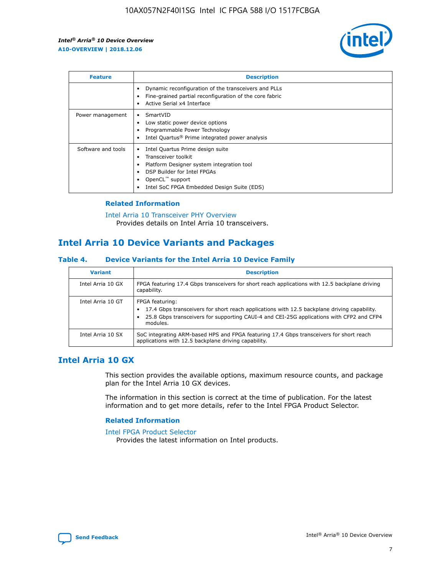

| <b>Feature</b>     | <b>Description</b>                                                                                                                                                                                               |
|--------------------|------------------------------------------------------------------------------------------------------------------------------------------------------------------------------------------------------------------|
|                    | Dynamic reconfiguration of the transceivers and PLLs<br>Fine-grained partial reconfiguration of the core fabric<br>Active Serial x4 Interface<br>$\bullet$                                                       |
| Power management   | SmartVID<br>Low static power device options<br>Programmable Power Technology<br>Intel Quartus <sup>®</sup> Prime integrated power analysis                                                                       |
| Software and tools | Intel Quartus Prime design suite<br>Transceiver toolkit<br>Platform Designer system integration tool<br>DSP Builder for Intel FPGAs<br>OpenCL <sup>™</sup> support<br>Intel SoC FPGA Embedded Design Suite (EDS) |

## **Related Information**

[Intel Arria 10 Transceiver PHY Overview](https://www.intel.com/content/www/us/en/programmable/documentation/nik1398707230472.html#nik1398706768037) Provides details on Intel Arria 10 transceivers.

# **Intel Arria 10 Device Variants and Packages**

#### **Table 4. Device Variants for the Intel Arria 10 Device Family**

| <b>Variant</b>    | <b>Description</b>                                                                                                                                                                                                     |
|-------------------|------------------------------------------------------------------------------------------------------------------------------------------------------------------------------------------------------------------------|
| Intel Arria 10 GX | FPGA featuring 17.4 Gbps transceivers for short reach applications with 12.5 backplane driving<br>capability.                                                                                                          |
| Intel Arria 10 GT | FPGA featuring:<br>17.4 Gbps transceivers for short reach applications with 12.5 backplane driving capability.<br>25.8 Gbps transceivers for supporting CAUI-4 and CEI-25G applications with CFP2 and CFP4<br>modules. |
| Intel Arria 10 SX | SoC integrating ARM-based HPS and FPGA featuring 17.4 Gbps transceivers for short reach<br>applications with 12.5 backplane driving capability.                                                                        |

# **Intel Arria 10 GX**

This section provides the available options, maximum resource counts, and package plan for the Intel Arria 10 GX devices.

The information in this section is correct at the time of publication. For the latest information and to get more details, refer to the Intel FPGA Product Selector.

#### **Related Information**

#### [Intel FPGA Product Selector](http://www.altera.com/products/selector/psg-selector.html) Provides the latest information on Intel products.

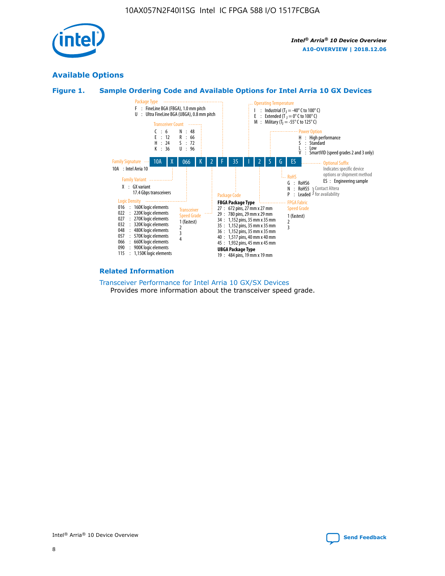

# **Available Options**





#### **Related Information**

[Transceiver Performance for Intel Arria 10 GX/SX Devices](https://www.intel.com/content/www/us/en/programmable/documentation/mcn1413182292568.html#mcn1413213965502) Provides more information about the transceiver speed grade.

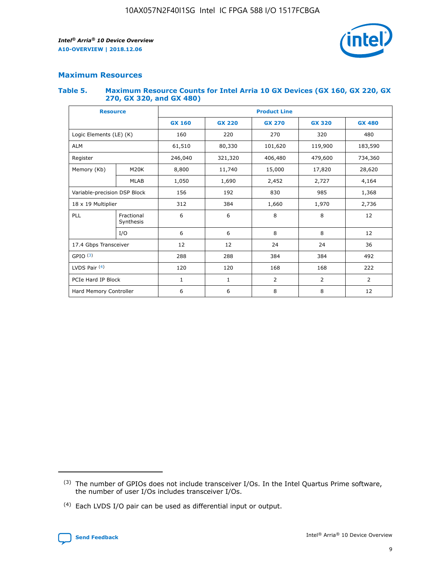

# **Maximum Resources**

#### **Table 5. Maximum Resource Counts for Intel Arria 10 GX Devices (GX 160, GX 220, GX 270, GX 320, and GX 480)**

| <b>Resource</b>         |                              | <b>Product Line</b> |                                |                    |                |                |  |  |  |
|-------------------------|------------------------------|---------------------|--------------------------------|--------------------|----------------|----------------|--|--|--|
|                         |                              | <b>GX 160</b>       | <b>GX 220</b><br><b>GX 270</b> |                    | <b>GX 320</b>  | <b>GX 480</b>  |  |  |  |
| Logic Elements (LE) (K) |                              | 160                 | 220                            | 270                | 320            | 480            |  |  |  |
| <b>ALM</b>              |                              | 61,510              | 80,330                         | 101,620            | 119,900        | 183,590        |  |  |  |
| Register                |                              | 246,040             | 321,320                        | 406,480<br>479,600 |                | 734,360        |  |  |  |
| Memory (Kb)             | M <sub>20</sub> K            | 8,800               | 11,740                         | 15,000             | 17,820         |                |  |  |  |
| <b>MLAB</b>             |                              | 1,050               | 1,690                          | 2,452              | 2,727          | 4,164          |  |  |  |
|                         | Variable-precision DSP Block |                     | 156<br>192<br>830<br>985       |                    |                | 1,368          |  |  |  |
| 18 x 19 Multiplier      |                              | 312                 | 384                            | 1,970<br>1,660     |                | 2,736          |  |  |  |
| PLL                     | Fractional<br>Synthesis      | 6                   | 6                              | 8                  | 8              | 12             |  |  |  |
|                         | I/O                          | 6                   | 6                              | 8                  | 8              | 12             |  |  |  |
| 17.4 Gbps Transceiver   |                              | 12                  | 12                             | 24                 | 24             | 36             |  |  |  |
| GPIO <sup>(3)</sup>     |                              | 288                 | 288                            | 384<br>384         |                | 492            |  |  |  |
| LVDS Pair $(4)$         |                              | 120                 | 120                            | 168                | 168            | 222            |  |  |  |
| PCIe Hard IP Block      |                              | 1                   | 1                              | 2                  | $\overline{2}$ | $\overline{2}$ |  |  |  |
| Hard Memory Controller  |                              | 6                   | 6                              | 8                  | 8              | 12             |  |  |  |

<sup>(4)</sup> Each LVDS I/O pair can be used as differential input or output.



<sup>(3)</sup> The number of GPIOs does not include transceiver I/Os. In the Intel Quartus Prime software, the number of user I/Os includes transceiver I/Os.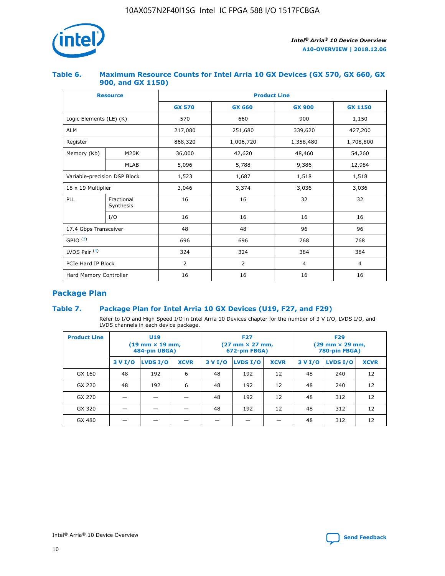

## **Table 6. Maximum Resource Counts for Intel Arria 10 GX Devices (GX 570, GX 660, GX 900, and GX 1150)**

|                              | <b>Resource</b>         | <b>Product Line</b> |                |                |                |  |  |  |
|------------------------------|-------------------------|---------------------|----------------|----------------|----------------|--|--|--|
|                              |                         | <b>GX 570</b>       | <b>GX 660</b>  | <b>GX 900</b>  | <b>GX 1150</b> |  |  |  |
| Logic Elements (LE) (K)      |                         | 570                 | 660            | 900            | 1,150          |  |  |  |
| <b>ALM</b>                   |                         | 217,080             | 251,680        | 339,620        | 427,200        |  |  |  |
| Register                     |                         | 868,320             | 1,006,720      | 1,358,480      | 1,708,800      |  |  |  |
| Memory (Kb)                  | <b>M20K</b>             | 36,000              | 42,620         | 48,460         | 54,260         |  |  |  |
| <b>MLAB</b>                  |                         | 5,096               | 5,788          | 9,386          | 12,984         |  |  |  |
| Variable-precision DSP Block |                         | 1,523               | 1,687          | 1,518          | 1,518          |  |  |  |
| $18 \times 19$ Multiplier    |                         | 3,046               | 3,374          | 3,036          | 3,036          |  |  |  |
| PLL                          | Fractional<br>Synthesis | 16                  | 16             | 32             | 32             |  |  |  |
|                              | I/O                     | 16                  | 16             | 16             | 16             |  |  |  |
| 17.4 Gbps Transceiver        |                         | 48                  | 48             |                | 96             |  |  |  |
| GPIO <sup>(3)</sup>          |                         | 696                 | 696            | 768            | 768            |  |  |  |
| LVDS Pair $(4)$              |                         | 324                 | 324            | 384            | 384            |  |  |  |
| PCIe Hard IP Block           |                         | 2                   | $\overline{2}$ | $\overline{4}$ | 4              |  |  |  |
| Hard Memory Controller       |                         | 16                  | 16             | 16             | 16             |  |  |  |

# **Package Plan**

# **Table 7. Package Plan for Intel Arria 10 GX Devices (U19, F27, and F29)**

Refer to I/O and High Speed I/O in Intel Arria 10 Devices chapter for the number of 3 V I/O, LVDS I/O, and LVDS channels in each device package.

| <b>Product Line</b> |         | U <sub>19</sub><br>$(19 \text{ mm} \times 19 \text{ mm})$<br>484-pin UBGA) |             | <b>F27</b><br>(27 mm × 27 mm,<br>672-pin FBGA) |          |             | <b>F29</b><br>(29 mm × 29 mm,<br>780-pin FBGA) |          |             |  |
|---------------------|---------|----------------------------------------------------------------------------|-------------|------------------------------------------------|----------|-------------|------------------------------------------------|----------|-------------|--|
|                     | 3 V I/O | LVDS I/O                                                                   | <b>XCVR</b> | 3 V I/O                                        | LVDS I/O | <b>XCVR</b> | 3 V I/O                                        | LVDS I/O | <b>XCVR</b> |  |
| GX 160              | 48      | 192                                                                        | 6           | 48                                             | 192      | 12          | 48                                             | 240      | 12          |  |
| GX 220              | 48      | 192                                                                        | 6           | 48                                             | 192      | 12          | 48                                             | 240      | 12          |  |
| GX 270              |         |                                                                            |             | 48                                             | 192      | 12          | 48                                             | 312      | 12          |  |
| GX 320              |         |                                                                            |             | 48                                             | 192      | 12          | 48                                             | 312      | 12          |  |
| GX 480              |         |                                                                            |             |                                                |          |             | 48                                             | 312      | 12          |  |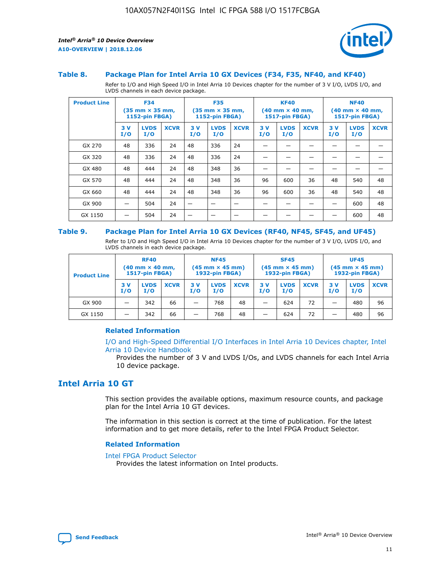

#### **Table 8. Package Plan for Intel Arria 10 GX Devices (F34, F35, NF40, and KF40)**

Refer to I/O and High Speed I/O in Intel Arria 10 Devices chapter for the number of 3 V I/O, LVDS I/O, and LVDS channels in each device package.

| <b>Product Line</b> |           | <b>F34</b><br>$(35 \text{ mm} \times 35 \text{ mm})$<br><b>1152-pin FBGA)</b> |             | <b>F35</b><br>$(35 \text{ mm} \times 35 \text{ mm})$<br><b>1152-pin FBGA)</b> |                    | <b>KF40</b><br>$(40$ mm $\times$ 40 mm,<br>1517-pin FBGA) |           |                    | <b>NF40</b><br>$(40 \text{ mm} \times 40 \text{ mm})$<br>1517-pin FBGA) |           |                    |             |
|---------------------|-----------|-------------------------------------------------------------------------------|-------------|-------------------------------------------------------------------------------|--------------------|-----------------------------------------------------------|-----------|--------------------|-------------------------------------------------------------------------|-----------|--------------------|-------------|
|                     | 3V<br>I/O | <b>LVDS</b><br>I/O                                                            | <b>XCVR</b> | 3V<br>I/O                                                                     | <b>LVDS</b><br>I/O | <b>XCVR</b>                                               | 3V<br>I/O | <b>LVDS</b><br>I/O | <b>XCVR</b>                                                             | 3V<br>I/O | <b>LVDS</b><br>I/O | <b>XCVR</b> |
| GX 270              | 48        | 336                                                                           | 24          | 48                                                                            | 336                | 24                                                        |           |                    |                                                                         |           |                    |             |
| GX 320              | 48        | 336                                                                           | 24          | 48                                                                            | 336                | 24                                                        |           |                    |                                                                         |           |                    |             |
| GX 480              | 48        | 444                                                                           | 24          | 48                                                                            | 348                | 36                                                        |           |                    |                                                                         |           |                    |             |
| GX 570              | 48        | 444                                                                           | 24          | 48                                                                            | 348                | 36                                                        | 96        | 600                | 36                                                                      | 48        | 540                | 48          |
| GX 660              | 48        | 444                                                                           | 24          | 48                                                                            | 348                | 36                                                        | 96        | 600                | 36                                                                      | 48        | 540                | 48          |
| GX 900              |           | 504                                                                           | 24          | —                                                                             |                    | -                                                         |           |                    |                                                                         |           | 600                | 48          |
| GX 1150             |           | 504                                                                           | 24          |                                                                               |                    |                                                           |           |                    |                                                                         |           | 600                | 48          |

#### **Table 9. Package Plan for Intel Arria 10 GX Devices (RF40, NF45, SF45, and UF45)**

Refer to I/O and High Speed I/O in Intel Arria 10 Devices chapter for the number of 3 V I/O, LVDS I/O, and LVDS channels in each device package.

| <b>Product Line</b> | <b>RF40</b><br>$(40$ mm $\times$ 40 mm,<br>1517-pin FBGA) |                    |             | <b>NF45</b><br>$(45 \text{ mm} \times 45 \text{ mm})$<br><b>1932-pin FBGA)</b> |                    |             | <b>SF45</b><br>$(45 \text{ mm} \times 45 \text{ mm})$<br><b>1932-pin FBGA)</b> |                    |             | <b>UF45</b><br>$(45 \text{ mm} \times 45 \text{ mm})$<br><b>1932-pin FBGA)</b> |                    |             |
|---------------------|-----------------------------------------------------------|--------------------|-------------|--------------------------------------------------------------------------------|--------------------|-------------|--------------------------------------------------------------------------------|--------------------|-------------|--------------------------------------------------------------------------------|--------------------|-------------|
|                     | 3V<br>I/O                                                 | <b>LVDS</b><br>I/O | <b>XCVR</b> | 3 V<br>I/O                                                                     | <b>LVDS</b><br>I/O | <b>XCVR</b> | 3 V<br>I/O                                                                     | <b>LVDS</b><br>I/O | <b>XCVR</b> | 3V<br>I/O                                                                      | <b>LVDS</b><br>I/O | <b>XCVR</b> |
| GX 900              |                                                           | 342                | 66          | _                                                                              | 768                | 48          |                                                                                | 624                | 72          |                                                                                | 480                | 96          |
| GX 1150             |                                                           | 342                | 66          | _                                                                              | 768                | 48          |                                                                                | 624                | 72          |                                                                                | 480                | 96          |

## **Related Information**

[I/O and High-Speed Differential I/O Interfaces in Intel Arria 10 Devices chapter, Intel](https://www.intel.com/content/www/us/en/programmable/documentation/sam1403482614086.html#sam1403482030321) [Arria 10 Device Handbook](https://www.intel.com/content/www/us/en/programmable/documentation/sam1403482614086.html#sam1403482030321)

Provides the number of 3 V and LVDS I/Os, and LVDS channels for each Intel Arria 10 device package.

# **Intel Arria 10 GT**

This section provides the available options, maximum resource counts, and package plan for the Intel Arria 10 GT devices.

The information in this section is correct at the time of publication. For the latest information and to get more details, refer to the Intel FPGA Product Selector.

#### **Related Information**

#### [Intel FPGA Product Selector](http://www.altera.com/products/selector/psg-selector.html)

Provides the latest information on Intel products.

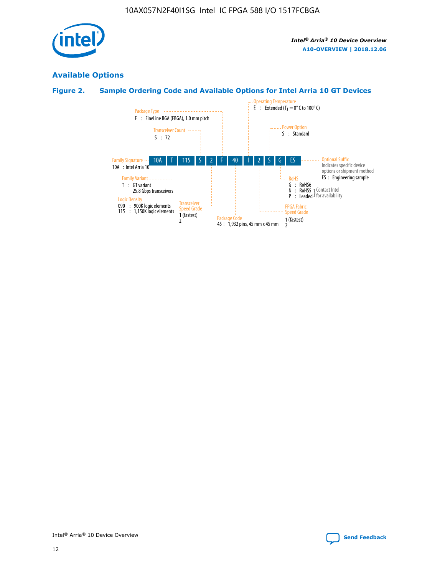

# **Available Options**

# **Figure 2. Sample Ordering Code and Available Options for Intel Arria 10 GT Devices**

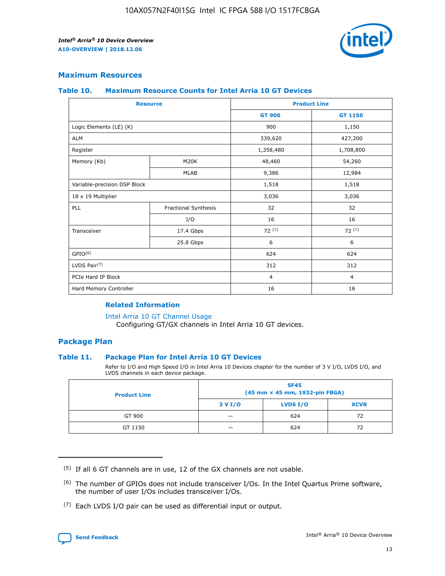

## **Maximum Resources**

#### **Table 10. Maximum Resource Counts for Intel Arria 10 GT Devices**

|                              | <b>Resource</b>      | <b>Product Line</b> |                |  |
|------------------------------|----------------------|---------------------|----------------|--|
|                              |                      | <b>GT 900</b>       | GT 1150        |  |
| Logic Elements (LE) (K)      |                      | 900                 | 1,150          |  |
| <b>ALM</b>                   |                      | 339,620             | 427,200        |  |
| Register                     |                      | 1,358,480           | 1,708,800      |  |
| Memory (Kb)                  | M20K                 | 48,460              | 54,260         |  |
|                              | <b>MLAB</b>          | 9,386               | 12,984         |  |
| Variable-precision DSP Block |                      | 1,518               | 1,518          |  |
| 18 x 19 Multiplier           |                      | 3,036               | 3,036          |  |
| PLL                          | Fractional Synthesis | 32                  | 32             |  |
|                              | I/O                  | 16                  | 16             |  |
| Transceiver                  | 17.4 Gbps            | 72(5)               | 72(5)          |  |
|                              | 25.8 Gbps            | 6                   | 6              |  |
| GPIO <sup>(6)</sup>          |                      | 624                 | 624            |  |
| LVDS Pair $(7)$              |                      | 312                 | 312            |  |
| PCIe Hard IP Block           |                      | $\overline{4}$      | $\overline{4}$ |  |
| Hard Memory Controller       |                      | 16                  | 16             |  |

## **Related Information**

#### [Intel Arria 10 GT Channel Usage](https://www.intel.com/content/www/us/en/programmable/documentation/nik1398707230472.html#nik1398707008178)

Configuring GT/GX channels in Intel Arria 10 GT devices.

## **Package Plan**

### **Table 11. Package Plan for Intel Arria 10 GT Devices**

Refer to I/O and High Speed I/O in Intel Arria 10 Devices chapter for the number of 3 V I/O, LVDS I/O, and LVDS channels in each device package.

| <b>Product Line</b> | <b>SF45</b><br>(45 mm × 45 mm, 1932-pin FBGA) |                 |             |  |  |  |
|---------------------|-----------------------------------------------|-----------------|-------------|--|--|--|
|                     | 3 V I/O                                       | <b>LVDS I/O</b> | <b>XCVR</b> |  |  |  |
| GT 900              |                                               | 624             | 72          |  |  |  |
| GT 1150             |                                               | 624             | 72          |  |  |  |

<sup>(7)</sup> Each LVDS I/O pair can be used as differential input or output.



 $(5)$  If all 6 GT channels are in use, 12 of the GX channels are not usable.

<sup>(6)</sup> The number of GPIOs does not include transceiver I/Os. In the Intel Quartus Prime software, the number of user I/Os includes transceiver I/Os.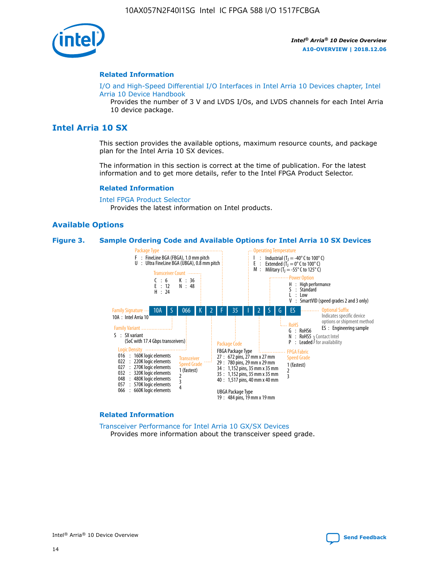

#### **Related Information**

[I/O and High-Speed Differential I/O Interfaces in Intel Arria 10 Devices chapter, Intel](https://www.intel.com/content/www/us/en/programmable/documentation/sam1403482614086.html#sam1403482030321) [Arria 10 Device Handbook](https://www.intel.com/content/www/us/en/programmable/documentation/sam1403482614086.html#sam1403482030321)

Provides the number of 3 V and LVDS I/Os, and LVDS channels for each Intel Arria 10 device package.

# **Intel Arria 10 SX**

This section provides the available options, maximum resource counts, and package plan for the Intel Arria 10 SX devices.

The information in this section is correct at the time of publication. For the latest information and to get more details, refer to the Intel FPGA Product Selector.

#### **Related Information**

[Intel FPGA Product Selector](http://www.altera.com/products/selector/psg-selector.html) Provides the latest information on Intel products.

#### **Available Options**

#### **Figure 3. Sample Ordering Code and Available Options for Intel Arria 10 SX Devices**



#### **Related Information**

[Transceiver Performance for Intel Arria 10 GX/SX Devices](https://www.intel.com/content/www/us/en/programmable/documentation/mcn1413182292568.html#mcn1413213965502) Provides more information about the transceiver speed grade.

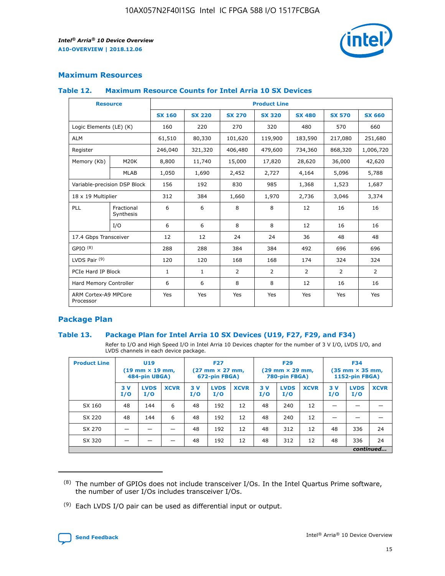

# **Maximum Resources**

### **Table 12. Maximum Resource Counts for Intel Arria 10 SX Devices**

| <b>Resource</b>                   |                         | <b>Product Line</b> |               |                |                |                |                |                |  |  |  |
|-----------------------------------|-------------------------|---------------------|---------------|----------------|----------------|----------------|----------------|----------------|--|--|--|
|                                   |                         | <b>SX 160</b>       | <b>SX 220</b> | <b>SX 270</b>  | <b>SX 320</b>  | <b>SX 480</b>  | <b>SX 570</b>  | <b>SX 660</b>  |  |  |  |
| Logic Elements (LE) (K)           |                         | 160                 | 220           | 270            | 320            | 480            | 570            | 660            |  |  |  |
| <b>ALM</b>                        |                         | 61,510              | 80,330        | 101,620        | 119,900        | 183,590        | 217,080        | 251,680        |  |  |  |
| Register                          |                         | 246,040             | 321,320       | 406,480        | 479,600        | 734,360        | 868,320        | 1,006,720      |  |  |  |
| Memory (Kb)                       | <b>M20K</b>             | 8,800               | 11,740        | 15,000         | 17,820         | 28,620         | 36,000         | 42,620         |  |  |  |
|                                   | <b>MLAB</b>             | 1,050               | 1,690         | 2,452          | 2,727          | 4,164          | 5,096          | 5,788          |  |  |  |
| Variable-precision DSP Block      |                         | 156                 | 192           | 830            | 985            | 1,368          | 1,523          | 1,687          |  |  |  |
| 18 x 19 Multiplier                |                         | 312                 | 384           | 1,660          | 1,970          | 2,736          | 3,046          | 3,374          |  |  |  |
| PLL                               | Fractional<br>Synthesis | 6                   | 6             | 8              | 8              | 12             | 16             | 16             |  |  |  |
|                                   | I/O                     | 6                   | 6             | 8              | 8              | 12             | 16             | 16             |  |  |  |
| 17.4 Gbps Transceiver             |                         | 12                  | 12            | 24             | 24             | 36             | 48             | 48             |  |  |  |
| GPIO <sup>(8)</sup>               |                         | 288                 | 288           | 384            | 384            | 492            | 696            | 696            |  |  |  |
| LVDS Pair $(9)$                   |                         | 120                 | 120           | 168            | 168            | 174            | 324            | 324            |  |  |  |
| PCIe Hard IP Block                |                         | $\mathbf{1}$        | $\mathbf{1}$  | $\overline{2}$ | $\overline{2}$ | $\overline{2}$ | $\overline{2}$ | $\overline{2}$ |  |  |  |
| Hard Memory Controller            |                         | 6                   | 6             | 8              | 8              | 12             | 16             | 16             |  |  |  |
| ARM Cortex-A9 MPCore<br>Processor |                         | Yes                 | Yes           | Yes            | Yes            | Yes            | Yes            | <b>Yes</b>     |  |  |  |

# **Package Plan**

### **Table 13. Package Plan for Intel Arria 10 SX Devices (U19, F27, F29, and F34)**

Refer to I/O and High Speed I/O in Intel Arria 10 Devices chapter for the number of 3 V I/O, LVDS I/O, and LVDS channels in each device package.

| <b>Product Line</b> | U19<br>$(19 \text{ mm} \times 19 \text{ mm})$<br>484-pin UBGA) |                    | <b>F27</b><br>$(27 \text{ mm} \times 27 \text{ mm})$<br>672-pin FBGA) |           | <b>F29</b><br>$(29 \text{ mm} \times 29 \text{ mm})$<br>780-pin FBGA) |             |            | <b>F34</b><br>$(35 \text{ mm} \times 35 \text{ mm})$<br><b>1152-pin FBGA)</b> |             |           |                    |             |
|---------------------|----------------------------------------------------------------|--------------------|-----------------------------------------------------------------------|-----------|-----------------------------------------------------------------------|-------------|------------|-------------------------------------------------------------------------------|-------------|-----------|--------------------|-------------|
|                     | 3V<br>I/O                                                      | <b>LVDS</b><br>I/O | <b>XCVR</b>                                                           | 3V<br>I/O | <b>LVDS</b><br>I/O                                                    | <b>XCVR</b> | 3 V<br>I/O | <b>LVDS</b><br>I/O                                                            | <b>XCVR</b> | 3V<br>I/O | <b>LVDS</b><br>I/O | <b>XCVR</b> |
| SX 160              | 48                                                             | 144                | 6                                                                     | 48        | 192                                                                   | 12          | 48         | 240                                                                           | 12          | –         |                    |             |
| SX 220              | 48                                                             | 144                | 6                                                                     | 48        | 192                                                                   | 12          | 48         | 240                                                                           | 12          |           |                    |             |
| SX 270              |                                                                |                    |                                                                       | 48        | 192                                                                   | 12          | 48         | 312                                                                           | 12          | 48        | 336                | 24          |
| SX 320              |                                                                |                    |                                                                       | 48        | 192                                                                   | 12          | 48         | 312                                                                           | 12          | 48        | 336                | 24          |
|                     | continued                                                      |                    |                                                                       |           |                                                                       |             |            |                                                                               |             |           |                    |             |

 $(8)$  The number of GPIOs does not include transceiver I/Os. In the Intel Quartus Prime software, the number of user I/Os includes transceiver I/Os.

 $(9)$  Each LVDS I/O pair can be used as differential input or output.

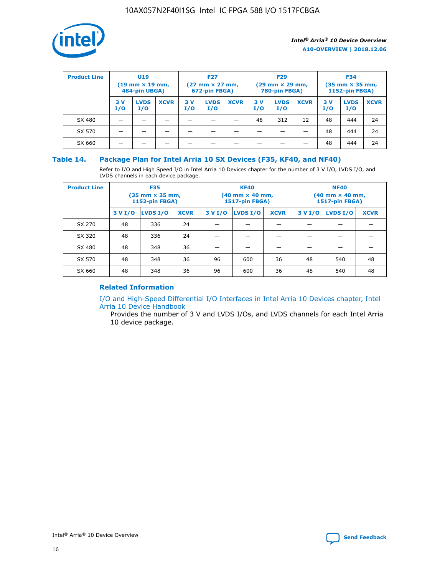

| <b>Product Line</b> | U <sub>19</sub><br>$(19 \text{ mm} \times 19 \text{ mm})$<br>484-pin UBGA) |                    |             | <b>F27</b><br>$(27 \text{ mm} \times 27 \text{ mm})$<br>672-pin FBGA) |                    |             | <b>F29</b><br>$(29 \text{ mm} \times 29 \text{ mm})$<br>780-pin FBGA) |                    |             | <b>F34</b><br>$(35$ mm $\times$ 35 mm,<br><b>1152-pin FBGA)</b> |                    |             |
|---------------------|----------------------------------------------------------------------------|--------------------|-------------|-----------------------------------------------------------------------|--------------------|-------------|-----------------------------------------------------------------------|--------------------|-------------|-----------------------------------------------------------------|--------------------|-------------|
|                     | 3 V<br>I/O                                                                 | <b>LVDS</b><br>I/O | <b>XCVR</b> | 3V<br>I/O                                                             | <b>LVDS</b><br>I/O | <b>XCVR</b> | 3V<br>I/O                                                             | <b>LVDS</b><br>I/O | <b>XCVR</b> | 3V<br>I/O                                                       | <b>LVDS</b><br>I/O | <b>XCVR</b> |
| SX 480              |                                                                            |                    |             |                                                                       |                    |             | 48                                                                    | 312                | 12          | 48                                                              | 444                | 24          |
| SX 570              |                                                                            |                    |             |                                                                       |                    |             |                                                                       |                    |             | 48                                                              | 444                | 24          |
| SX 660              |                                                                            |                    |             |                                                                       |                    |             |                                                                       |                    |             | 48                                                              | 444                | 24          |

## **Table 14. Package Plan for Intel Arria 10 SX Devices (F35, KF40, and NF40)**

Refer to I/O and High Speed I/O in Intel Arria 10 Devices chapter for the number of 3 V I/O, LVDS I/O, and LVDS channels in each device package.

| <b>Product Line</b> | <b>F35</b><br>(35 mm × 35 mm,<br><b>1152-pin FBGA)</b> |          |             |                                           | <b>KF40</b><br>(40 mm × 40 mm,<br>1517-pin FBGA) |    | <b>NF40</b><br>$(40 \text{ mm} \times 40 \text{ mm})$<br>1517-pin FBGA) |          |             |  |
|---------------------|--------------------------------------------------------|----------|-------------|-------------------------------------------|--------------------------------------------------|----|-------------------------------------------------------------------------|----------|-------------|--|
|                     | 3 V I/O                                                | LVDS I/O | <b>XCVR</b> | <b>LVDS I/O</b><br>3 V I/O<br><b>XCVR</b> |                                                  |    | 3 V I/O                                                                 | LVDS I/O | <b>XCVR</b> |  |
| SX 270              | 48                                                     | 336      | 24          |                                           |                                                  |    |                                                                         |          |             |  |
| SX 320              | 48                                                     | 336      | 24          |                                           |                                                  |    |                                                                         |          |             |  |
| SX 480              | 48                                                     | 348      | 36          |                                           |                                                  |    |                                                                         |          |             |  |
| SX 570              | 48                                                     | 348      | 36          | 96                                        | 600                                              | 36 | 48                                                                      | 540      | 48          |  |
| SX 660              | 48                                                     | 348      | 36          | 96                                        | 600                                              | 36 | 48                                                                      | 540      | 48          |  |

# **Related Information**

[I/O and High-Speed Differential I/O Interfaces in Intel Arria 10 Devices chapter, Intel](https://www.intel.com/content/www/us/en/programmable/documentation/sam1403482614086.html#sam1403482030321) [Arria 10 Device Handbook](https://www.intel.com/content/www/us/en/programmable/documentation/sam1403482614086.html#sam1403482030321)

Provides the number of 3 V and LVDS I/Os, and LVDS channels for each Intel Arria 10 device package.

Intel<sup>®</sup> Arria<sup>®</sup> 10 Device Overview **[Send Feedback](mailto:FPGAtechdocfeedback@intel.com?subject=Feedback%20on%20Intel%20Arria%2010%20Device%20Overview%20(A10-OVERVIEW%202018.12.06)&body=We%20appreciate%20your%20feedback.%20In%20your%20comments,%20also%20specify%20the%20page%20number%20or%20paragraph.%20Thank%20you.)** Send Feedback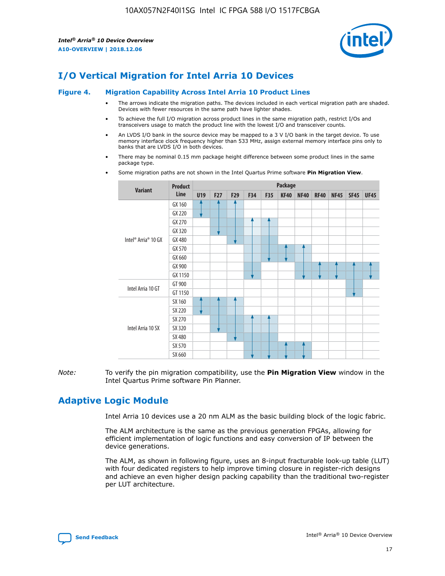

# **I/O Vertical Migration for Intel Arria 10 Devices**

#### **Figure 4. Migration Capability Across Intel Arria 10 Product Lines**

- The arrows indicate the migration paths. The devices included in each vertical migration path are shaded. Devices with fewer resources in the same path have lighter shades.
- To achieve the full I/O migration across product lines in the same migration path, restrict I/Os and transceivers usage to match the product line with the lowest I/O and transceiver counts.
- An LVDS I/O bank in the source device may be mapped to a 3 V I/O bank in the target device. To use memory interface clock frequency higher than 533 MHz, assign external memory interface pins only to banks that are LVDS I/O in both devices.
- There may be nominal 0.15 mm package height difference between some product lines in the same package type.
	- **Variant Product Line Package U19 F27 F29 F34 F35 KF40 NF40 RF40 NF45 SF45 UF45** Intel® Arria® 10 GX GX 160 GX 220 GX 270 GX 320 GX 480 GX 570 GX 660 GX 900 GX 1150 Intel Arria 10 GT GT 900 GT 1150 Intel Arria 10 SX SX 160 SX 220 SX 270 SX 320 SX 480 SX 570 SX 660
- Some migration paths are not shown in the Intel Quartus Prime software **Pin Migration View**.

*Note:* To verify the pin migration compatibility, use the **Pin Migration View** window in the Intel Quartus Prime software Pin Planner.

# **Adaptive Logic Module**

Intel Arria 10 devices use a 20 nm ALM as the basic building block of the logic fabric.

The ALM architecture is the same as the previous generation FPGAs, allowing for efficient implementation of logic functions and easy conversion of IP between the device generations.

The ALM, as shown in following figure, uses an 8-input fracturable look-up table (LUT) with four dedicated registers to help improve timing closure in register-rich designs and achieve an even higher design packing capability than the traditional two-register per LUT architecture.

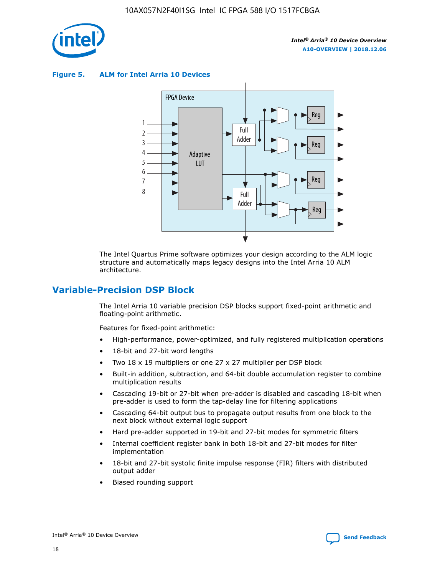

**Figure 5. ALM for Intel Arria 10 Devices**



The Intel Quartus Prime software optimizes your design according to the ALM logic structure and automatically maps legacy designs into the Intel Arria 10 ALM architecture.

# **Variable-Precision DSP Block**

The Intel Arria 10 variable precision DSP blocks support fixed-point arithmetic and floating-point arithmetic.

Features for fixed-point arithmetic:

- High-performance, power-optimized, and fully registered multiplication operations
- 18-bit and 27-bit word lengths
- Two 18 x 19 multipliers or one 27 x 27 multiplier per DSP block
- Built-in addition, subtraction, and 64-bit double accumulation register to combine multiplication results
- Cascading 19-bit or 27-bit when pre-adder is disabled and cascading 18-bit when pre-adder is used to form the tap-delay line for filtering applications
- Cascading 64-bit output bus to propagate output results from one block to the next block without external logic support
- Hard pre-adder supported in 19-bit and 27-bit modes for symmetric filters
- Internal coefficient register bank in both 18-bit and 27-bit modes for filter implementation
- 18-bit and 27-bit systolic finite impulse response (FIR) filters with distributed output adder
- Biased rounding support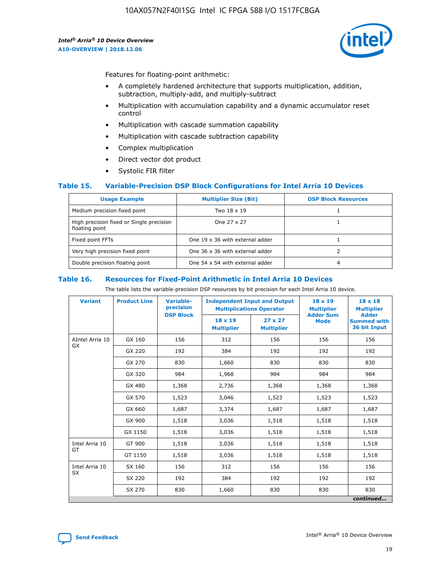

Features for floating-point arithmetic:

- A completely hardened architecture that supports multiplication, addition, subtraction, multiply-add, and multiply-subtract
- Multiplication with accumulation capability and a dynamic accumulator reset control
- Multiplication with cascade summation capability
- Multiplication with cascade subtraction capability
- Complex multiplication
- Direct vector dot product
- Systolic FIR filter

### **Table 15. Variable-Precision DSP Block Configurations for Intel Arria 10 Devices**

| <b>Usage Example</b>                                       | <b>Multiplier Size (Bit)</b>    | <b>DSP Block Resources</b> |
|------------------------------------------------------------|---------------------------------|----------------------------|
| Medium precision fixed point                               | Two 18 x 19                     |                            |
| High precision fixed or Single precision<br>floating point | One 27 x 27                     |                            |
| Fixed point FFTs                                           | One 19 x 36 with external adder |                            |
| Very high precision fixed point                            | One 36 x 36 with external adder |                            |
| Double precision floating point                            | One 54 x 54 with external adder | 4                          |

#### **Table 16. Resources for Fixed-Point Arithmetic in Intel Arria 10 Devices**

The table lists the variable-precision DSP resources by bit precision for each Intel Arria 10 device.

| <b>Variant</b>  | <b>Product Line</b> | <b>Variable-</b><br>precision<br><b>DSP Block</b> | <b>Independent Input and Output</b><br><b>Multiplications Operator</b> |                                     | 18 x 19<br><b>Multiplier</b><br><b>Adder Sum</b> | $18 \times 18$<br><b>Multiplier</b><br><b>Adder</b> |
|-----------------|---------------------|---------------------------------------------------|------------------------------------------------------------------------|-------------------------------------|--------------------------------------------------|-----------------------------------------------------|
|                 |                     |                                                   | 18 x 19<br><b>Multiplier</b>                                           | $27 \times 27$<br><b>Multiplier</b> | <b>Mode</b>                                      | <b>Summed with</b><br>36 bit Input                  |
| AIntel Arria 10 | GX 160              | 156                                               | 312                                                                    | 156                                 | 156                                              | 156                                                 |
| GX              | GX 220              | 192                                               | 384                                                                    | 192                                 | 192                                              | 192                                                 |
|                 | GX 270              | 830                                               | 1,660                                                                  | 830                                 | 830                                              | 830                                                 |
|                 | GX 320              | 984                                               | 1,968                                                                  | 984                                 | 984                                              | 984                                                 |
|                 | GX 480              | 1,368                                             | 2,736                                                                  | 1,368                               | 1,368                                            | 1,368                                               |
|                 | GX 570              | 1,523                                             | 3,046                                                                  | 1,523                               | 1,523                                            | 1,523                                               |
|                 | GX 660              | 1,687                                             | 3,374                                                                  | 1,687                               | 1,687                                            | 1,687                                               |
|                 | GX 900              | 1,518                                             | 3,036                                                                  | 1,518                               | 1,518                                            | 1,518                                               |
|                 | GX 1150             | 1,518                                             | 3,036                                                                  | 1,518                               | 1,518                                            | 1,518                                               |
| Intel Arria 10  | GT 900              | 1,518                                             | 3,036                                                                  | 1,518                               | 1,518                                            | 1,518                                               |
| GT              | GT 1150             | 1,518                                             | 3,036                                                                  | 1,518                               | 1,518                                            | 1,518                                               |
| Intel Arria 10  | SX 160              | 156                                               | 312                                                                    | 156                                 | 156                                              | 156                                                 |
| <b>SX</b>       | SX 220              | 192                                               | 384                                                                    | 192                                 | 192                                              | 192                                                 |
|                 | SX 270              | 830                                               | 1,660                                                                  | 830                                 | 830                                              | 830                                                 |
|                 |                     |                                                   |                                                                        |                                     |                                                  | continued                                           |

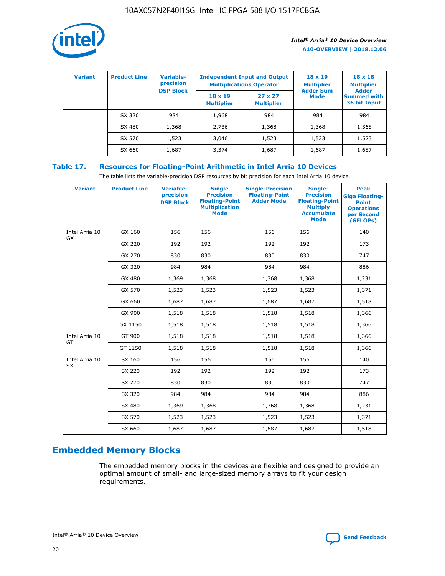

| <b>Variant</b> | <b>Product Line</b> | <b>Variable-</b><br>precision<br><b>DSP Block</b> | <b>Independent Input and Output</b><br><b>Multiplications Operator</b> |                                     | $18 \times 19$<br><b>Multiplier</b><br><b>Adder Sum</b> | $18 \times 18$<br><b>Multiplier</b><br><b>Adder</b> |  |
|----------------|---------------------|---------------------------------------------------|------------------------------------------------------------------------|-------------------------------------|---------------------------------------------------------|-----------------------------------------------------|--|
|                |                     |                                                   | $18 \times 19$<br><b>Multiplier</b>                                    | $27 \times 27$<br><b>Multiplier</b> | <b>Mode</b>                                             | <b>Summed with</b><br>36 bit Input                  |  |
|                | SX 320              | 984                                               | 1,968                                                                  | 984                                 | 984                                                     | 984                                                 |  |
|                | SX 480              | 1,368                                             | 2,736                                                                  | 1,368                               | 1,368                                                   | 1,368                                               |  |
|                | SX 570              | 1,523                                             | 3,046                                                                  | 1,523                               | 1,523                                                   | 1,523                                               |  |
|                | SX 660              | 1,687                                             | 3,374                                                                  | 1,687                               | 1,687                                                   | 1,687                                               |  |

# **Table 17. Resources for Floating-Point Arithmetic in Intel Arria 10 Devices**

The table lists the variable-precision DSP resources by bit precision for each Intel Arria 10 device.

| <b>Variant</b> | <b>Product Line</b> | <b>Variable-</b><br>precision<br><b>DSP Block</b> | <b>Single</b><br><b>Precision</b><br><b>Floating-Point</b><br><b>Multiplication</b><br><b>Mode</b> | <b>Single-Precision</b><br><b>Floating-Point</b><br><b>Adder Mode</b> | Single-<br><b>Precision</b><br><b>Floating-Point</b><br><b>Multiply</b><br><b>Accumulate</b><br><b>Mode</b> | <b>Peak</b><br><b>Giga Floating-</b><br><b>Point</b><br><b>Operations</b><br>per Second<br>(GFLOPs) |
|----------------|---------------------|---------------------------------------------------|----------------------------------------------------------------------------------------------------|-----------------------------------------------------------------------|-------------------------------------------------------------------------------------------------------------|-----------------------------------------------------------------------------------------------------|
| Intel Arria 10 | GX 160              | 156                                               | 156                                                                                                | 156                                                                   | 156                                                                                                         | 140                                                                                                 |
| <b>GX</b>      | GX 220              | 192                                               | 192                                                                                                | 192                                                                   | 192                                                                                                         | 173                                                                                                 |
|                | GX 270              | 830                                               | 830                                                                                                | 830                                                                   | 830                                                                                                         | 747                                                                                                 |
|                | GX 320              | 984                                               | 984                                                                                                | 984                                                                   | 984                                                                                                         | 886                                                                                                 |
|                | GX 480              | 1,369                                             | 1,368                                                                                              | 1,368                                                                 | 1,368                                                                                                       | 1,231                                                                                               |
|                | GX 570              | 1,523                                             | 1,523                                                                                              | 1,523                                                                 | 1,523                                                                                                       | 1,371                                                                                               |
|                | GX 660              | 1,687                                             | 1,687                                                                                              | 1,687                                                                 | 1,687                                                                                                       | 1,518                                                                                               |
|                | GX 900              | 1,518                                             | 1,518                                                                                              | 1,518                                                                 | 1,518                                                                                                       | 1,366                                                                                               |
|                | GX 1150             | 1,518                                             | 1,518                                                                                              | 1,518                                                                 | 1,518                                                                                                       | 1,366                                                                                               |
| Intel Arria 10 | GT 900              | 1,518                                             | 1,518                                                                                              | 1,518                                                                 | 1,518                                                                                                       | 1,366                                                                                               |
| GT             | GT 1150             | 1,518                                             | 1,518                                                                                              | 1,518                                                                 | 1,518                                                                                                       | 1,366                                                                                               |
| Intel Arria 10 | SX 160              | 156                                               | 156                                                                                                | 156                                                                   | 156                                                                                                         | 140                                                                                                 |
| SX             | SX 220              | 192                                               | 192                                                                                                | 192                                                                   | 192                                                                                                         | 173                                                                                                 |
|                | SX 270              | 830                                               | 830                                                                                                | 830                                                                   | 830                                                                                                         | 747                                                                                                 |
|                | SX 320              | 984                                               | 984                                                                                                | 984                                                                   | 984                                                                                                         | 886                                                                                                 |
|                | SX 480              | 1,369                                             | 1,368                                                                                              | 1,368                                                                 | 1,368                                                                                                       | 1,231                                                                                               |
|                | SX 570              | 1,523                                             | 1,523                                                                                              | 1,523                                                                 | 1,523                                                                                                       | 1,371                                                                                               |
|                | SX 660              | 1,687                                             | 1,687                                                                                              | 1,687                                                                 | 1,687                                                                                                       | 1,518                                                                                               |

# **Embedded Memory Blocks**

The embedded memory blocks in the devices are flexible and designed to provide an optimal amount of small- and large-sized memory arrays to fit your design requirements.

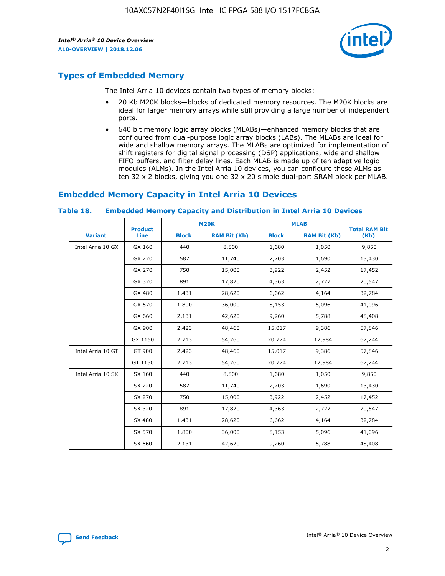

# **Types of Embedded Memory**

The Intel Arria 10 devices contain two types of memory blocks:

- 20 Kb M20K blocks—blocks of dedicated memory resources. The M20K blocks are ideal for larger memory arrays while still providing a large number of independent ports.
- 640 bit memory logic array blocks (MLABs)—enhanced memory blocks that are configured from dual-purpose logic array blocks (LABs). The MLABs are ideal for wide and shallow memory arrays. The MLABs are optimized for implementation of shift registers for digital signal processing (DSP) applications, wide and shallow FIFO buffers, and filter delay lines. Each MLAB is made up of ten adaptive logic modules (ALMs). In the Intel Arria 10 devices, you can configure these ALMs as ten 32 x 2 blocks, giving you one 32 x 20 simple dual-port SRAM block per MLAB.

# **Embedded Memory Capacity in Intel Arria 10 Devices**

|                   | <b>Product</b> |              | <b>M20K</b>         | <b>MLAB</b>  |                     | <b>Total RAM Bit</b> |
|-------------------|----------------|--------------|---------------------|--------------|---------------------|----------------------|
| <b>Variant</b>    | <b>Line</b>    | <b>Block</b> | <b>RAM Bit (Kb)</b> | <b>Block</b> | <b>RAM Bit (Kb)</b> | (Kb)                 |
| Intel Arria 10 GX | GX 160         | 440          | 8,800               | 1,680        | 1,050               | 9,850                |
|                   | GX 220         | 587          | 11,740              | 2,703        | 1,690               | 13,430               |
|                   | GX 270         | 750          | 15,000              | 3,922        | 2,452               | 17,452               |
|                   | GX 320         | 891          | 17,820              | 4,363        | 2,727               | 20,547               |
|                   | GX 480         | 1,431        | 28,620              | 6,662        | 4,164               | 32,784               |
|                   | GX 570         | 1,800        | 36,000              | 8,153        | 5,096               | 41,096               |
|                   | GX 660         | 2,131        | 42,620              | 9,260        | 5,788               | 48,408               |
|                   | GX 900         | 2,423        | 48,460              | 15,017       | 9,386               | 57,846               |
|                   | GX 1150        | 2,713        | 54,260              | 20,774       | 12,984              | 67,244               |
| Intel Arria 10 GT | GT 900         | 2,423        | 48,460              | 15,017       | 9,386               | 57,846               |
|                   | GT 1150        | 2,713        | 54,260              | 20,774       | 12,984              | 67,244               |
| Intel Arria 10 SX | SX 160         | 440          | 8,800               | 1,680        | 1,050               | 9,850                |
|                   | SX 220         | 587          | 11,740              | 2,703        | 1,690               | 13,430               |
|                   | SX 270         | 750          | 15,000              | 3,922        | 2,452               | 17,452               |
|                   | SX 320         | 891          | 17,820              | 4,363        | 2,727               | 20,547               |
|                   | SX 480         | 1,431        | 28,620              | 6,662        | 4,164               | 32,784               |
|                   | SX 570         | 1,800        | 36,000              | 8,153        | 5,096               | 41,096               |
|                   | SX 660         | 2,131        | 42,620              | 9,260        | 5,788               | 48,408               |

#### **Table 18. Embedded Memory Capacity and Distribution in Intel Arria 10 Devices**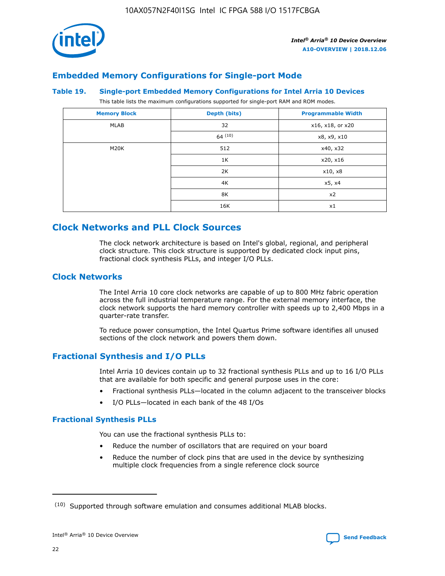

# **Embedded Memory Configurations for Single-port Mode**

#### **Table 19. Single-port Embedded Memory Configurations for Intel Arria 10 Devices**

This table lists the maximum configurations supported for single-port RAM and ROM modes.

| <b>Memory Block</b> | Depth (bits) | <b>Programmable Width</b> |
|---------------------|--------------|---------------------------|
| MLAB                | 32           | x16, x18, or x20          |
|                     | 64(10)       | x8, x9, x10               |
| M20K                | 512          | x40, x32                  |
|                     | 1K           | x20, x16                  |
|                     | 2K           | x10, x8                   |
|                     | 4K           | x5, x4                    |
|                     | 8K           | x2                        |
|                     | 16K          | x1                        |

# **Clock Networks and PLL Clock Sources**

The clock network architecture is based on Intel's global, regional, and peripheral clock structure. This clock structure is supported by dedicated clock input pins, fractional clock synthesis PLLs, and integer I/O PLLs.

# **Clock Networks**

The Intel Arria 10 core clock networks are capable of up to 800 MHz fabric operation across the full industrial temperature range. For the external memory interface, the clock network supports the hard memory controller with speeds up to 2,400 Mbps in a quarter-rate transfer.

To reduce power consumption, the Intel Quartus Prime software identifies all unused sections of the clock network and powers them down.

# **Fractional Synthesis and I/O PLLs**

Intel Arria 10 devices contain up to 32 fractional synthesis PLLs and up to 16 I/O PLLs that are available for both specific and general purpose uses in the core:

- Fractional synthesis PLLs—located in the column adjacent to the transceiver blocks
- I/O PLLs—located in each bank of the 48 I/Os

# **Fractional Synthesis PLLs**

You can use the fractional synthesis PLLs to:

- Reduce the number of oscillators that are required on your board
- Reduce the number of clock pins that are used in the device by synthesizing multiple clock frequencies from a single reference clock source

<sup>(10)</sup> Supported through software emulation and consumes additional MLAB blocks.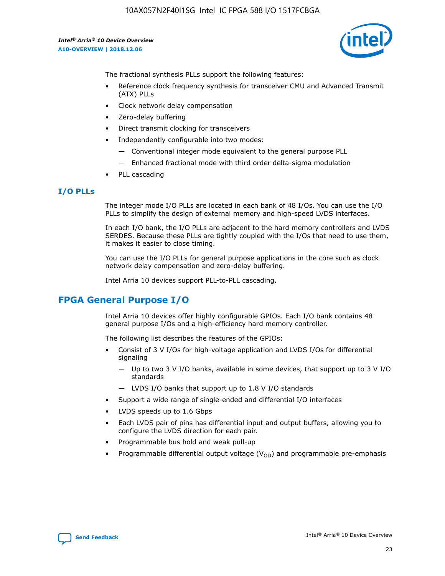10AX057N2F40I1SG Intel IC FPGA 588 I/O 1517FCBGA

*Intel® Arria® 10 Device Overview* **A10-OVERVIEW | 2018.12.06**



The fractional synthesis PLLs support the following features:

- Reference clock frequency synthesis for transceiver CMU and Advanced Transmit (ATX) PLLs
- Clock network delay compensation
- Zero-delay buffering
- Direct transmit clocking for transceivers
- Independently configurable into two modes:
	- Conventional integer mode equivalent to the general purpose PLL
	- Enhanced fractional mode with third order delta-sigma modulation
- PLL cascading

### **I/O PLLs**

The integer mode I/O PLLs are located in each bank of 48 I/Os. You can use the I/O PLLs to simplify the design of external memory and high-speed LVDS interfaces.

In each I/O bank, the I/O PLLs are adjacent to the hard memory controllers and LVDS SERDES. Because these PLLs are tightly coupled with the I/Os that need to use them, it makes it easier to close timing.

You can use the I/O PLLs for general purpose applications in the core such as clock network delay compensation and zero-delay buffering.

Intel Arria 10 devices support PLL-to-PLL cascading.

# **FPGA General Purpose I/O**

Intel Arria 10 devices offer highly configurable GPIOs. Each I/O bank contains 48 general purpose I/Os and a high-efficiency hard memory controller.

The following list describes the features of the GPIOs:

- Consist of 3 V I/Os for high-voltage application and LVDS I/Os for differential signaling
	- Up to two 3 V I/O banks, available in some devices, that support up to 3 V I/O standards
	- LVDS I/O banks that support up to 1.8 V I/O standards
- Support a wide range of single-ended and differential I/O interfaces
- LVDS speeds up to 1.6 Gbps
- Each LVDS pair of pins has differential input and output buffers, allowing you to configure the LVDS direction for each pair.
- Programmable bus hold and weak pull-up
- Programmable differential output voltage  $(V_{OD})$  and programmable pre-emphasis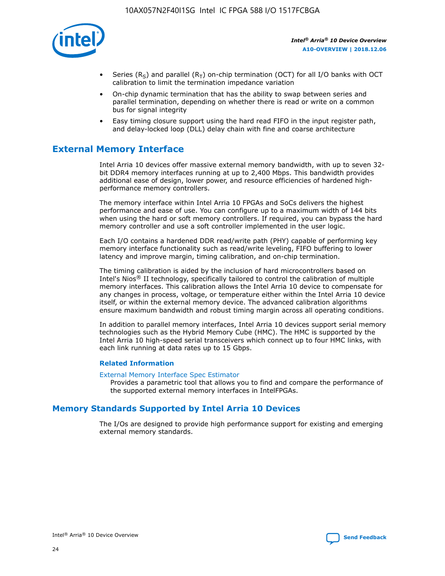

- Series (R<sub>S</sub>) and parallel (R<sub>T</sub>) on-chip termination (OCT) for all I/O banks with OCT calibration to limit the termination impedance variation
- On-chip dynamic termination that has the ability to swap between series and parallel termination, depending on whether there is read or write on a common bus for signal integrity
- Easy timing closure support using the hard read FIFO in the input register path, and delay-locked loop (DLL) delay chain with fine and coarse architecture

# **External Memory Interface**

Intel Arria 10 devices offer massive external memory bandwidth, with up to seven 32 bit DDR4 memory interfaces running at up to 2,400 Mbps. This bandwidth provides additional ease of design, lower power, and resource efficiencies of hardened highperformance memory controllers.

The memory interface within Intel Arria 10 FPGAs and SoCs delivers the highest performance and ease of use. You can configure up to a maximum width of 144 bits when using the hard or soft memory controllers. If required, you can bypass the hard memory controller and use a soft controller implemented in the user logic.

Each I/O contains a hardened DDR read/write path (PHY) capable of performing key memory interface functionality such as read/write leveling, FIFO buffering to lower latency and improve margin, timing calibration, and on-chip termination.

The timing calibration is aided by the inclusion of hard microcontrollers based on Intel's Nios® II technology, specifically tailored to control the calibration of multiple memory interfaces. This calibration allows the Intel Arria 10 device to compensate for any changes in process, voltage, or temperature either within the Intel Arria 10 device itself, or within the external memory device. The advanced calibration algorithms ensure maximum bandwidth and robust timing margin across all operating conditions.

In addition to parallel memory interfaces, Intel Arria 10 devices support serial memory technologies such as the Hybrid Memory Cube (HMC). The HMC is supported by the Intel Arria 10 high-speed serial transceivers which connect up to four HMC links, with each link running at data rates up to 15 Gbps.

### **Related Information**

#### [External Memory Interface Spec Estimator](http://www.altera.com/technology/memory/estimator/mem-emif-index.html)

Provides a parametric tool that allows you to find and compare the performance of the supported external memory interfaces in IntelFPGAs.

# **Memory Standards Supported by Intel Arria 10 Devices**

The I/Os are designed to provide high performance support for existing and emerging external memory standards.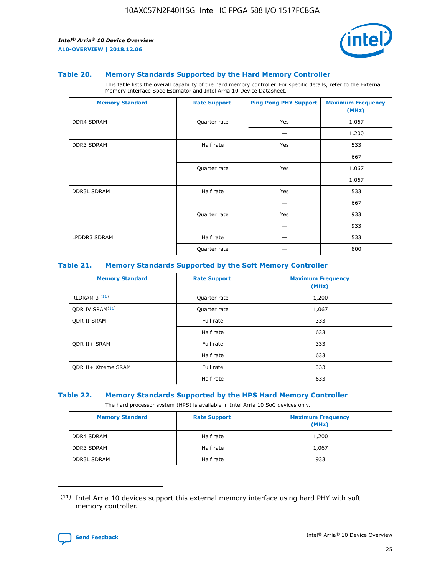

#### **Table 20. Memory Standards Supported by the Hard Memory Controller**

This table lists the overall capability of the hard memory controller. For specific details, refer to the External Memory Interface Spec Estimator and Intel Arria 10 Device Datasheet.

| <b>Memory Standard</b> | <b>Rate Support</b> | <b>Ping Pong PHY Support</b> | <b>Maximum Frequency</b><br>(MHz) |
|------------------------|---------------------|------------------------------|-----------------------------------|
| <b>DDR4 SDRAM</b>      | Quarter rate        | Yes                          | 1,067                             |
|                        |                     |                              | 1,200                             |
| DDR3 SDRAM             | Half rate           | Yes                          | 533                               |
|                        |                     |                              | 667                               |
|                        | Quarter rate        | Yes                          | 1,067                             |
|                        |                     |                              | 1,067                             |
| <b>DDR3L SDRAM</b>     | Half rate           | Yes                          | 533                               |
|                        |                     |                              | 667                               |
|                        | Quarter rate        | Yes                          | 933                               |
|                        |                     |                              | 933                               |
| LPDDR3 SDRAM           | Half rate           |                              | 533                               |
|                        | Quarter rate        |                              | 800                               |

### **Table 21. Memory Standards Supported by the Soft Memory Controller**

| <b>Memory Standard</b>      | <b>Rate Support</b> | <b>Maximum Frequency</b><br>(MHz) |
|-----------------------------|---------------------|-----------------------------------|
| <b>RLDRAM 3 (11)</b>        | Quarter rate        | 1,200                             |
| ODR IV SRAM <sup>(11)</sup> | Quarter rate        | 1,067                             |
| <b>ODR II SRAM</b>          | Full rate           | 333                               |
|                             | Half rate           | 633                               |
| <b>ODR II+ SRAM</b>         | Full rate           | 333                               |
|                             | Half rate           | 633                               |
| <b>ODR II+ Xtreme SRAM</b>  | Full rate           | 333                               |
|                             | Half rate           | 633                               |

#### **Table 22. Memory Standards Supported by the HPS Hard Memory Controller**

The hard processor system (HPS) is available in Intel Arria 10 SoC devices only.

| <b>Memory Standard</b> | <b>Rate Support</b> | <b>Maximum Frequency</b><br>(MHz) |
|------------------------|---------------------|-----------------------------------|
| <b>DDR4 SDRAM</b>      | Half rate           | 1,200                             |
| <b>DDR3 SDRAM</b>      | Half rate           | 1,067                             |
| <b>DDR3L SDRAM</b>     | Half rate           | 933                               |

<sup>(11)</sup> Intel Arria 10 devices support this external memory interface using hard PHY with soft memory controller.

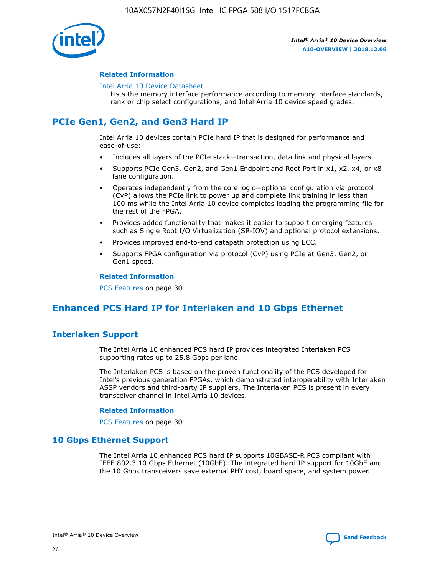

### **Related Information**

#### [Intel Arria 10 Device Datasheet](https://www.intel.com/content/www/us/en/programmable/documentation/mcn1413182292568.html#mcn1413182153340)

Lists the memory interface performance according to memory interface standards, rank or chip select configurations, and Intel Arria 10 device speed grades.

# **PCIe Gen1, Gen2, and Gen3 Hard IP**

Intel Arria 10 devices contain PCIe hard IP that is designed for performance and ease-of-use:

- Includes all layers of the PCIe stack—transaction, data link and physical layers.
- Supports PCIe Gen3, Gen2, and Gen1 Endpoint and Root Port in x1, x2, x4, or x8 lane configuration.
- Operates independently from the core logic—optional configuration via protocol (CvP) allows the PCIe link to power up and complete link training in less than 100 ms while the Intel Arria 10 device completes loading the programming file for the rest of the FPGA.
- Provides added functionality that makes it easier to support emerging features such as Single Root I/O Virtualization (SR-IOV) and optional protocol extensions.
- Provides improved end-to-end datapath protection using ECC.
- Supports FPGA configuration via protocol (CvP) using PCIe at Gen3, Gen2, or Gen1 speed.

#### **Related Information**

PCS Features on page 30

# **Enhanced PCS Hard IP for Interlaken and 10 Gbps Ethernet**

# **Interlaken Support**

The Intel Arria 10 enhanced PCS hard IP provides integrated Interlaken PCS supporting rates up to 25.8 Gbps per lane.

The Interlaken PCS is based on the proven functionality of the PCS developed for Intel's previous generation FPGAs, which demonstrated interoperability with Interlaken ASSP vendors and third-party IP suppliers. The Interlaken PCS is present in every transceiver channel in Intel Arria 10 devices.

### **Related Information**

PCS Features on page 30

# **10 Gbps Ethernet Support**

The Intel Arria 10 enhanced PCS hard IP supports 10GBASE-R PCS compliant with IEEE 802.3 10 Gbps Ethernet (10GbE). The integrated hard IP support for 10GbE and the 10 Gbps transceivers save external PHY cost, board space, and system power.

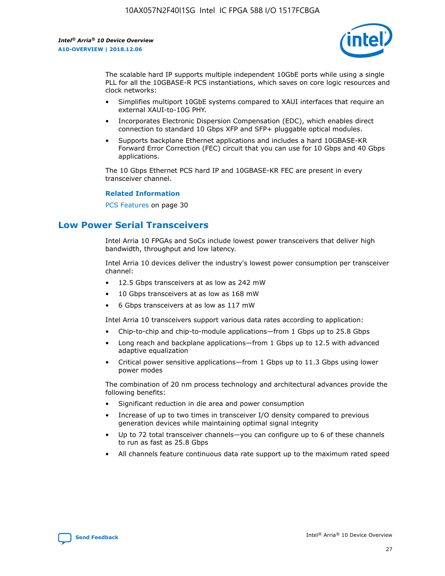

The scalable hard IP supports multiple independent 10GbE ports while using a single PLL for all the 10GBASE-R PCS instantiations, which saves on core logic resources and clock networks:

- Simplifies multiport 10GbE systems compared to XAUI interfaces that require an external XAUI-to-10G PHY.
- Incorporates Electronic Dispersion Compensation (EDC), which enables direct connection to standard 10 Gbps XFP and SFP+ pluggable optical modules.
- Supports backplane Ethernet applications and includes a hard 10GBASE-KR Forward Error Correction (FEC) circuit that you can use for 10 Gbps and 40 Gbps applications.

The 10 Gbps Ethernet PCS hard IP and 10GBASE-KR FEC are present in every transceiver channel.

#### **Related Information**

PCS Features on page 30

# **Low Power Serial Transceivers**

Intel Arria 10 FPGAs and SoCs include lowest power transceivers that deliver high bandwidth, throughput and low latency.

Intel Arria 10 devices deliver the industry's lowest power consumption per transceiver channel:

- 12.5 Gbps transceivers at as low as 242 mW
- 10 Gbps transceivers at as low as 168 mW
- 6 Gbps transceivers at as low as 117 mW

Intel Arria 10 transceivers support various data rates according to application:

- Chip-to-chip and chip-to-module applications—from 1 Gbps up to 25.8 Gbps
- Long reach and backplane applications—from 1 Gbps up to 12.5 with advanced adaptive equalization
- Critical power sensitive applications—from 1 Gbps up to 11.3 Gbps using lower power modes

The combination of 20 nm process technology and architectural advances provide the following benefits:

- Significant reduction in die area and power consumption
- Increase of up to two times in transceiver I/O density compared to previous generation devices while maintaining optimal signal integrity
- Up to 72 total transceiver channels—you can configure up to 6 of these channels to run as fast as 25.8 Gbps
- All channels feature continuous data rate support up to the maximum rated speed

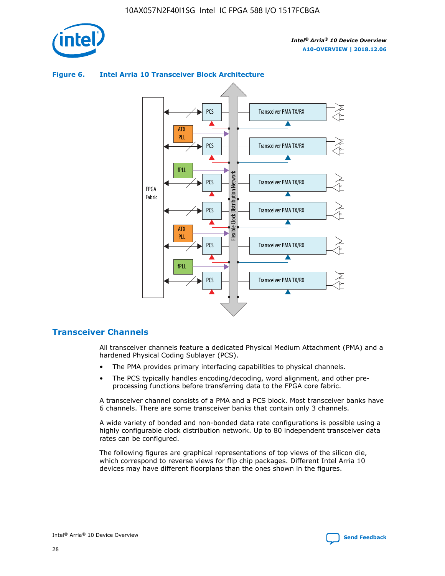



## **Figure 6. Intel Arria 10 Transceiver Block Architecture**

# **Transceiver Channels**

All transceiver channels feature a dedicated Physical Medium Attachment (PMA) and a hardened Physical Coding Sublayer (PCS).

- The PMA provides primary interfacing capabilities to physical channels.
- The PCS typically handles encoding/decoding, word alignment, and other preprocessing functions before transferring data to the FPGA core fabric.

A transceiver channel consists of a PMA and a PCS block. Most transceiver banks have 6 channels. There are some transceiver banks that contain only 3 channels.

A wide variety of bonded and non-bonded data rate configurations is possible using a highly configurable clock distribution network. Up to 80 independent transceiver data rates can be configured.

The following figures are graphical representations of top views of the silicon die, which correspond to reverse views for flip chip packages. Different Intel Arria 10 devices may have different floorplans than the ones shown in the figures.

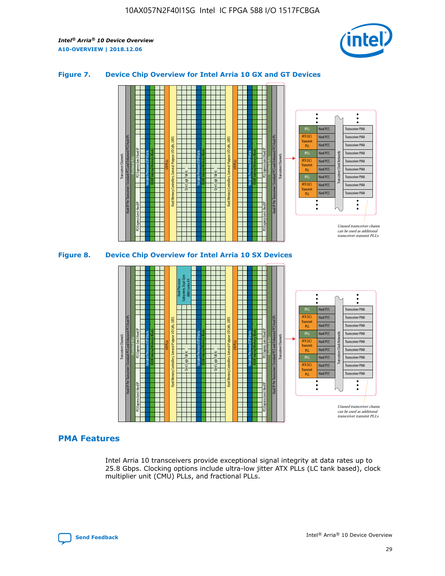

## **Figure 7. Device Chip Overview for Intel Arria 10 GX and GT Devices**





### **PMA Features**

Intel Arria 10 transceivers provide exceptional signal integrity at data rates up to 25.8 Gbps. Clocking options include ultra-low jitter ATX PLLs (LC tank based), clock multiplier unit (CMU) PLLs, and fractional PLLs.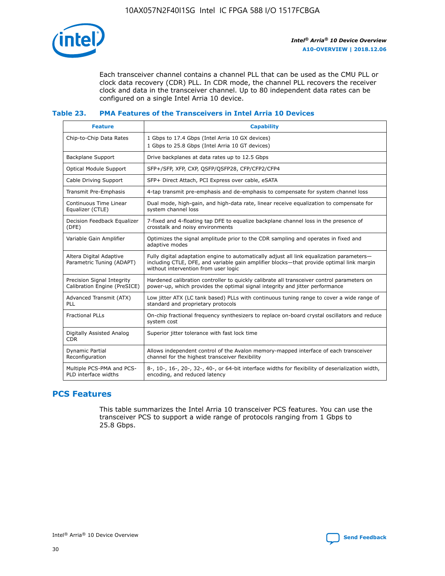

Each transceiver channel contains a channel PLL that can be used as the CMU PLL or clock data recovery (CDR) PLL. In CDR mode, the channel PLL recovers the receiver clock and data in the transceiver channel. Up to 80 independent data rates can be configured on a single Intel Arria 10 device.

## **Table 23. PMA Features of the Transceivers in Intel Arria 10 Devices**

| <b>Feature</b>                                             | <b>Capability</b>                                                                                                                                                                                                             |
|------------------------------------------------------------|-------------------------------------------------------------------------------------------------------------------------------------------------------------------------------------------------------------------------------|
| Chip-to-Chip Data Rates                                    | 1 Gbps to 17.4 Gbps (Intel Arria 10 GX devices)<br>1 Gbps to 25.8 Gbps (Intel Arria 10 GT devices)                                                                                                                            |
| Backplane Support                                          | Drive backplanes at data rates up to 12.5 Gbps                                                                                                                                                                                |
| Optical Module Support                                     | SFP+/SFP, XFP, CXP, QSFP/QSFP28, CFP/CFP2/CFP4                                                                                                                                                                                |
| Cable Driving Support                                      | SFP+ Direct Attach, PCI Express over cable, eSATA                                                                                                                                                                             |
| Transmit Pre-Emphasis                                      | 4-tap transmit pre-emphasis and de-emphasis to compensate for system channel loss                                                                                                                                             |
| Continuous Time Linear<br>Equalizer (CTLE)                 | Dual mode, high-gain, and high-data rate, linear receive equalization to compensate for<br>system channel loss                                                                                                                |
| Decision Feedback Equalizer<br>(DFE)                       | 7-fixed and 4-floating tap DFE to equalize backplane channel loss in the presence of<br>crosstalk and noisy environments                                                                                                      |
| Variable Gain Amplifier                                    | Optimizes the signal amplitude prior to the CDR sampling and operates in fixed and<br>adaptive modes                                                                                                                          |
| Altera Digital Adaptive<br>Parametric Tuning (ADAPT)       | Fully digital adaptation engine to automatically adjust all link equalization parameters-<br>including CTLE, DFE, and variable gain amplifier blocks—that provide optimal link margin<br>without intervention from user logic |
| Precision Signal Integrity<br>Calibration Engine (PreSICE) | Hardened calibration controller to quickly calibrate all transceiver control parameters on<br>power-up, which provides the optimal signal integrity and jitter performance                                                    |
| Advanced Transmit (ATX)<br><b>PLL</b>                      | Low jitter ATX (LC tank based) PLLs with continuous tuning range to cover a wide range of<br>standard and proprietary protocols                                                                                               |
| <b>Fractional PLLs</b>                                     | On-chip fractional frequency synthesizers to replace on-board crystal oscillators and reduce<br>system cost                                                                                                                   |
| Digitally Assisted Analog<br><b>CDR</b>                    | Superior jitter tolerance with fast lock time                                                                                                                                                                                 |
| Dynamic Partial<br>Reconfiguration                         | Allows independent control of the Avalon memory-mapped interface of each transceiver<br>channel for the highest transceiver flexibility                                                                                       |
| Multiple PCS-PMA and PCS-<br>PLD interface widths          | 8-, 10-, 16-, 20-, 32-, 40-, or 64-bit interface widths for flexibility of deserialization width,<br>encoding, and reduced latency                                                                                            |

# **PCS Features**

This table summarizes the Intel Arria 10 transceiver PCS features. You can use the transceiver PCS to support a wide range of protocols ranging from 1 Gbps to 25.8 Gbps.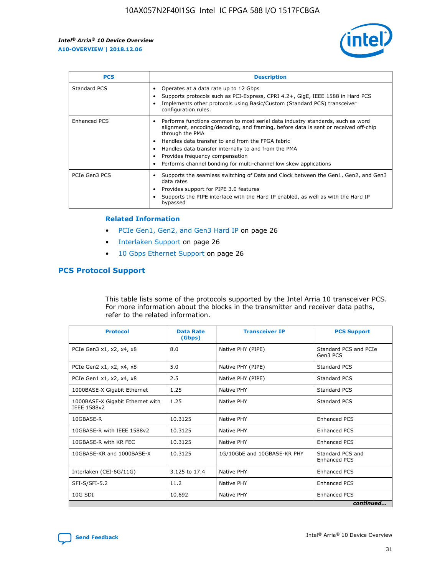

| <b>PCS</b>    | <b>Description</b>                                                                                                                                                                                                                                                                                                                                                                                             |
|---------------|----------------------------------------------------------------------------------------------------------------------------------------------------------------------------------------------------------------------------------------------------------------------------------------------------------------------------------------------------------------------------------------------------------------|
| Standard PCS  | Operates at a data rate up to 12 Gbps<br>Supports protocols such as PCI-Express, CPRI 4.2+, GigE, IEEE 1588 in Hard PCS<br>Implements other protocols using Basic/Custom (Standard PCS) transceiver<br>configuration rules.                                                                                                                                                                                    |
| Enhanced PCS  | Performs functions common to most serial data industry standards, such as word<br>alignment, encoding/decoding, and framing, before data is sent or received off-chip<br>through the PMA<br>• Handles data transfer to and from the FPGA fabric<br>Handles data transfer internally to and from the PMA<br>Provides frequency compensation<br>Performs channel bonding for multi-channel low skew applications |
| PCIe Gen3 PCS | Supports the seamless switching of Data and Clock between the Gen1, Gen2, and Gen3<br>data rates<br>Provides support for PIPE 3.0 features<br>Supports the PIPE interface with the Hard IP enabled, as well as with the Hard IP<br>bypassed                                                                                                                                                                    |

#### **Related Information**

- PCIe Gen1, Gen2, and Gen3 Hard IP on page 26
- Interlaken Support on page 26
- 10 Gbps Ethernet Support on page 26

# **PCS Protocol Support**

This table lists some of the protocols supported by the Intel Arria 10 transceiver PCS. For more information about the blocks in the transmitter and receiver data paths, refer to the related information.

| <b>Protocol</b>                                 | <b>Data Rate</b><br>(Gbps) | <b>Transceiver IP</b>       | <b>PCS Support</b>                      |
|-------------------------------------------------|----------------------------|-----------------------------|-----------------------------------------|
| PCIe Gen3 x1, x2, x4, x8                        | 8.0                        | Native PHY (PIPE)           | Standard PCS and PCIe<br>Gen3 PCS       |
| PCIe Gen2 x1, x2, x4, x8                        | 5.0                        | Native PHY (PIPE)           | <b>Standard PCS</b>                     |
| PCIe Gen1 x1, x2, x4, x8                        | 2.5                        | Native PHY (PIPE)           | Standard PCS                            |
| 1000BASE-X Gigabit Ethernet                     | 1.25                       | Native PHY                  | <b>Standard PCS</b>                     |
| 1000BASE-X Gigabit Ethernet with<br>IEEE 1588v2 | 1.25                       | Native PHY                  | Standard PCS                            |
| 10GBASE-R                                       | 10.3125                    | Native PHY                  | <b>Enhanced PCS</b>                     |
| 10GBASE-R with IEEE 1588v2                      | 10.3125                    | Native PHY                  | <b>Enhanced PCS</b>                     |
| 10GBASE-R with KR FEC                           | 10.3125                    | Native PHY                  | <b>Enhanced PCS</b>                     |
| 10GBASE-KR and 1000BASE-X                       | 10.3125                    | 1G/10GbE and 10GBASE-KR PHY | Standard PCS and<br><b>Enhanced PCS</b> |
| Interlaken (CEI-6G/11G)                         | 3.125 to 17.4              | Native PHY                  | <b>Enhanced PCS</b>                     |
| SFI-S/SFI-5.2                                   | 11.2                       | Native PHY                  | <b>Enhanced PCS</b>                     |
| $10G$ SDI                                       | 10.692                     | Native PHY                  | <b>Enhanced PCS</b>                     |
|                                                 |                            |                             | continued                               |

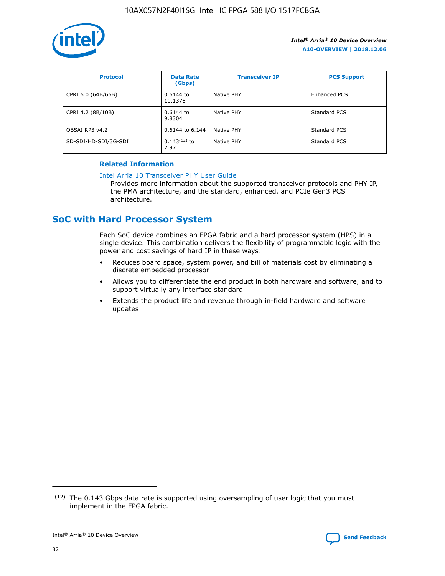

| <b>Protocol</b>      | <b>Data Rate</b><br>(Gbps) | <b>Transceiver IP</b> | <b>PCS Support</b> |
|----------------------|----------------------------|-----------------------|--------------------|
| CPRI 6.0 (64B/66B)   | 0.6144 to<br>10.1376       | Native PHY            | Enhanced PCS       |
| CPRI 4.2 (8B/10B)    | 0.6144 to<br>9.8304        | Native PHY            | Standard PCS       |
| OBSAI RP3 v4.2       | 0.6144 to 6.144            | Native PHY            | Standard PCS       |
| SD-SDI/HD-SDI/3G-SDI | $0.143(12)$ to<br>2.97     | Native PHY            | Standard PCS       |

## **Related Information**

#### [Intel Arria 10 Transceiver PHY User Guide](https://www.intel.com/content/www/us/en/programmable/documentation/nik1398707230472.html#nik1398707091164)

Provides more information about the supported transceiver protocols and PHY IP, the PMA architecture, and the standard, enhanced, and PCIe Gen3 PCS architecture.

# **SoC with Hard Processor System**

Each SoC device combines an FPGA fabric and a hard processor system (HPS) in a single device. This combination delivers the flexibility of programmable logic with the power and cost savings of hard IP in these ways:

- Reduces board space, system power, and bill of materials cost by eliminating a discrete embedded processor
- Allows you to differentiate the end product in both hardware and software, and to support virtually any interface standard
- Extends the product life and revenue through in-field hardware and software updates

 $(12)$  The 0.143 Gbps data rate is supported using oversampling of user logic that you must implement in the FPGA fabric.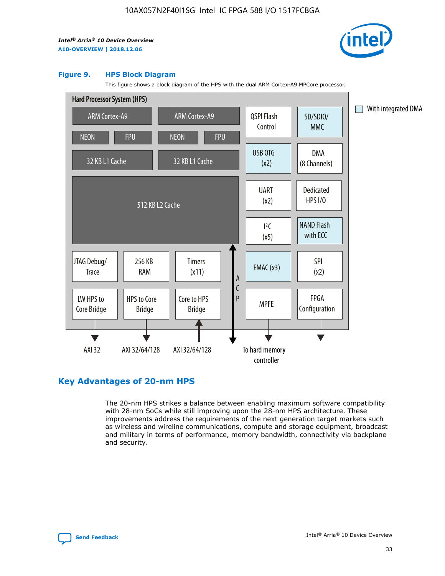

#### **Figure 9. HPS Block Diagram**

This figure shows a block diagram of the HPS with the dual ARM Cortex-A9 MPCore processor.



# **Key Advantages of 20-nm HPS**

The 20-nm HPS strikes a balance between enabling maximum software compatibility with 28-nm SoCs while still improving upon the 28-nm HPS architecture. These improvements address the requirements of the next generation target markets such as wireless and wireline communications, compute and storage equipment, broadcast and military in terms of performance, memory bandwidth, connectivity via backplane and security.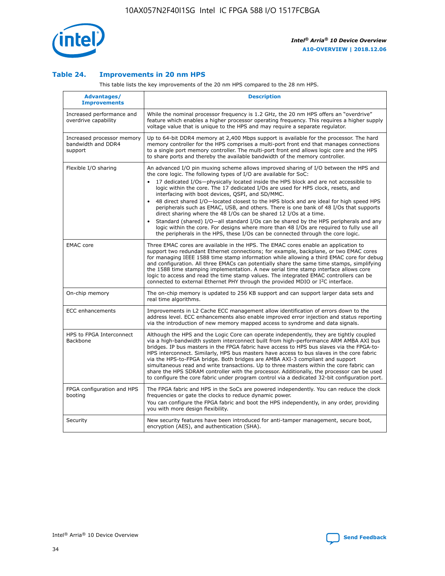

## **Table 24. Improvements in 20 nm HPS**

This table lists the key improvements of the 20 nm HPS compared to the 28 nm HPS.

| Advantages/<br><b>Improvements</b>                          | <b>Description</b>                                                                                                                                                                                                                                                                                                                                                                                                                                                                                                                                                                                                                                                                                                                                                                                                                                                                                                      |
|-------------------------------------------------------------|-------------------------------------------------------------------------------------------------------------------------------------------------------------------------------------------------------------------------------------------------------------------------------------------------------------------------------------------------------------------------------------------------------------------------------------------------------------------------------------------------------------------------------------------------------------------------------------------------------------------------------------------------------------------------------------------------------------------------------------------------------------------------------------------------------------------------------------------------------------------------------------------------------------------------|
| Increased performance and<br>overdrive capability           | While the nominal processor frequency is 1.2 GHz, the 20 nm HPS offers an "overdrive"<br>feature which enables a higher processor operating frequency. This requires a higher supply<br>voltage value that is unique to the HPS and may require a separate regulator.                                                                                                                                                                                                                                                                                                                                                                                                                                                                                                                                                                                                                                                   |
| Increased processor memory<br>bandwidth and DDR4<br>support | Up to 64-bit DDR4 memory at 2,400 Mbps support is available for the processor. The hard<br>memory controller for the HPS comprises a multi-port front end that manages connections<br>to a single port memory controller. The multi-port front end allows logic core and the HPS<br>to share ports and thereby the available bandwidth of the memory controller.                                                                                                                                                                                                                                                                                                                                                                                                                                                                                                                                                        |
| Flexible I/O sharing                                        | An advanced I/O pin muxing scheme allows improved sharing of I/O between the HPS and<br>the core logic. The following types of I/O are available for SoC:<br>17 dedicated I/Os-physically located inside the HPS block and are not accessible to<br>logic within the core. The 17 dedicated I/Os are used for HPS clock, resets, and<br>interfacing with boot devices, QSPI, and SD/MMC.<br>48 direct shared I/O-located closest to the HPS block and are ideal for high speed HPS<br>peripherals such as EMAC, USB, and others. There is one bank of 48 I/Os that supports<br>direct sharing where the 48 I/Os can be shared 12 I/Os at a time.<br>Standard (shared) I/O-all standard I/Os can be shared by the HPS peripherals and any<br>logic within the core. For designs where more than 48 I/Os are required to fully use all<br>the peripherals in the HPS, these I/Os can be connected through the core logic. |
| <b>EMAC</b> core                                            | Three EMAC cores are available in the HPS. The EMAC cores enable an application to<br>support two redundant Ethernet connections; for example, backplane, or two EMAC cores<br>for managing IEEE 1588 time stamp information while allowing a third EMAC core for debug<br>and configuration. All three EMACs can potentially share the same time stamps, simplifying<br>the 1588 time stamping implementation. A new serial time stamp interface allows core<br>logic to access and read the time stamp values. The integrated EMAC controllers can be<br>connected to external Ethernet PHY through the provided MDIO or I <sup>2</sup> C interface.                                                                                                                                                                                                                                                                  |
| On-chip memory                                              | The on-chip memory is updated to 256 KB support and can support larger data sets and<br>real time algorithms.                                                                                                                                                                                                                                                                                                                                                                                                                                                                                                                                                                                                                                                                                                                                                                                                           |
| <b>ECC</b> enhancements                                     | Improvements in L2 Cache ECC management allow identification of errors down to the<br>address level. ECC enhancements also enable improved error injection and status reporting<br>via the introduction of new memory mapped access to syndrome and data signals.                                                                                                                                                                                                                                                                                                                                                                                                                                                                                                                                                                                                                                                       |
| HPS to FPGA Interconnect<br>Backbone                        | Although the HPS and the Logic Core can operate independently, they are tightly coupled<br>via a high-bandwidth system interconnect built from high-performance ARM AMBA AXI bus<br>bridges. IP bus masters in the FPGA fabric have access to HPS bus slaves via the FPGA-to-<br>HPS interconnect. Similarly, HPS bus masters have access to bus slaves in the core fabric<br>via the HPS-to-FPGA bridge. Both bridges are AMBA AXI-3 compliant and support<br>simultaneous read and write transactions. Up to three masters within the core fabric can<br>share the HPS SDRAM controller with the processor. Additionally, the processor can be used<br>to configure the core fabric under program control via a dedicated 32-bit configuration port.                                                                                                                                                                  |
| FPGA configuration and HPS<br>booting                       | The FPGA fabric and HPS in the SoCs are powered independently. You can reduce the clock<br>frequencies or gate the clocks to reduce dynamic power.<br>You can configure the FPGA fabric and boot the HPS independently, in any order, providing<br>you with more design flexibility.                                                                                                                                                                                                                                                                                                                                                                                                                                                                                                                                                                                                                                    |
| Security                                                    | New security features have been introduced for anti-tamper management, secure boot,<br>encryption (AES), and authentication (SHA).                                                                                                                                                                                                                                                                                                                                                                                                                                                                                                                                                                                                                                                                                                                                                                                      |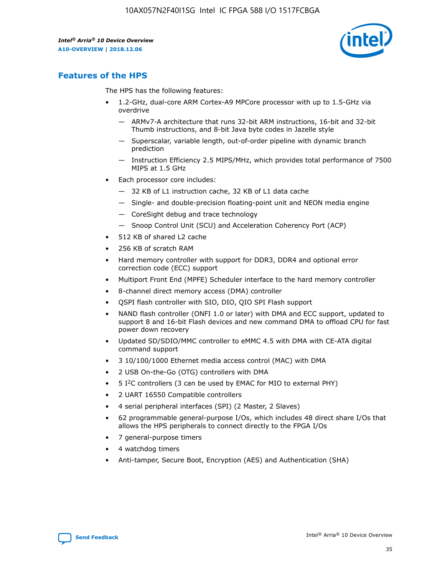

# **Features of the HPS**

The HPS has the following features:

- 1.2-GHz, dual-core ARM Cortex-A9 MPCore processor with up to 1.5-GHz via overdrive
	- ARMv7-A architecture that runs 32-bit ARM instructions, 16-bit and 32-bit Thumb instructions, and 8-bit Java byte codes in Jazelle style
	- Superscalar, variable length, out-of-order pipeline with dynamic branch prediction
	- Instruction Efficiency 2.5 MIPS/MHz, which provides total performance of 7500 MIPS at 1.5 GHz
- Each processor core includes:
	- 32 KB of L1 instruction cache, 32 KB of L1 data cache
	- Single- and double-precision floating-point unit and NEON media engine
	- CoreSight debug and trace technology
	- Snoop Control Unit (SCU) and Acceleration Coherency Port (ACP)
- 512 KB of shared L2 cache
- 256 KB of scratch RAM
- Hard memory controller with support for DDR3, DDR4 and optional error correction code (ECC) support
- Multiport Front End (MPFE) Scheduler interface to the hard memory controller
- 8-channel direct memory access (DMA) controller
- QSPI flash controller with SIO, DIO, QIO SPI Flash support
- NAND flash controller (ONFI 1.0 or later) with DMA and ECC support, updated to support 8 and 16-bit Flash devices and new command DMA to offload CPU for fast power down recovery
- Updated SD/SDIO/MMC controller to eMMC 4.5 with DMA with CE-ATA digital command support
- 3 10/100/1000 Ethernet media access control (MAC) with DMA
- 2 USB On-the-Go (OTG) controllers with DMA
- $\bullet$  5 I<sup>2</sup>C controllers (3 can be used by EMAC for MIO to external PHY)
- 2 UART 16550 Compatible controllers
- 4 serial peripheral interfaces (SPI) (2 Master, 2 Slaves)
- 62 programmable general-purpose I/Os, which includes 48 direct share I/Os that allows the HPS peripherals to connect directly to the FPGA I/Os
- 7 general-purpose timers
- 4 watchdog timers
- Anti-tamper, Secure Boot, Encryption (AES) and Authentication (SHA)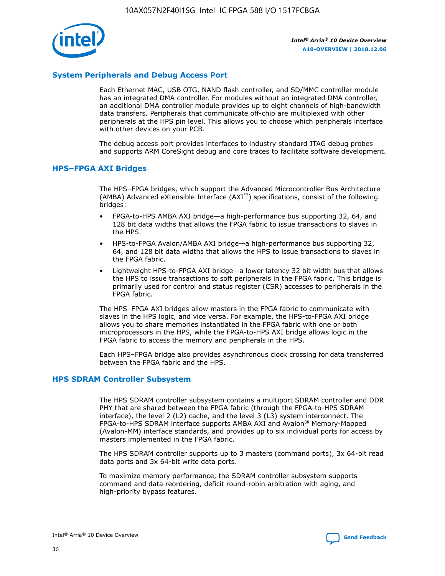

# **System Peripherals and Debug Access Port**

Each Ethernet MAC, USB OTG, NAND flash controller, and SD/MMC controller module has an integrated DMA controller. For modules without an integrated DMA controller, an additional DMA controller module provides up to eight channels of high-bandwidth data transfers. Peripherals that communicate off-chip are multiplexed with other peripherals at the HPS pin level. This allows you to choose which peripherals interface with other devices on your PCB.

The debug access port provides interfaces to industry standard JTAG debug probes and supports ARM CoreSight debug and core traces to facilitate software development.

## **HPS–FPGA AXI Bridges**

The HPS–FPGA bridges, which support the Advanced Microcontroller Bus Architecture (AMBA) Advanced eXtensible Interface (AXI™) specifications, consist of the following bridges:

- FPGA-to-HPS AMBA AXI bridge—a high-performance bus supporting 32, 64, and 128 bit data widths that allows the FPGA fabric to issue transactions to slaves in the HPS.
- HPS-to-FPGA Avalon/AMBA AXI bridge—a high-performance bus supporting 32, 64, and 128 bit data widths that allows the HPS to issue transactions to slaves in the FPGA fabric.
- Lightweight HPS-to-FPGA AXI bridge—a lower latency 32 bit width bus that allows the HPS to issue transactions to soft peripherals in the FPGA fabric. This bridge is primarily used for control and status register (CSR) accesses to peripherals in the FPGA fabric.

The HPS–FPGA AXI bridges allow masters in the FPGA fabric to communicate with slaves in the HPS logic, and vice versa. For example, the HPS-to-FPGA AXI bridge allows you to share memories instantiated in the FPGA fabric with one or both microprocessors in the HPS, while the FPGA-to-HPS AXI bridge allows logic in the FPGA fabric to access the memory and peripherals in the HPS.

Each HPS–FPGA bridge also provides asynchronous clock crossing for data transferred between the FPGA fabric and the HPS.

### **HPS SDRAM Controller Subsystem**

The HPS SDRAM controller subsystem contains a multiport SDRAM controller and DDR PHY that are shared between the FPGA fabric (through the FPGA-to-HPS SDRAM interface), the level 2 (L2) cache, and the level 3 (L3) system interconnect. The FPGA-to-HPS SDRAM interface supports AMBA AXI and Avalon® Memory-Mapped (Avalon-MM) interface standards, and provides up to six individual ports for access by masters implemented in the FPGA fabric.

The HPS SDRAM controller supports up to 3 masters (command ports), 3x 64-bit read data ports and 3x 64-bit write data ports.

To maximize memory performance, the SDRAM controller subsystem supports command and data reordering, deficit round-robin arbitration with aging, and high-priority bypass features.

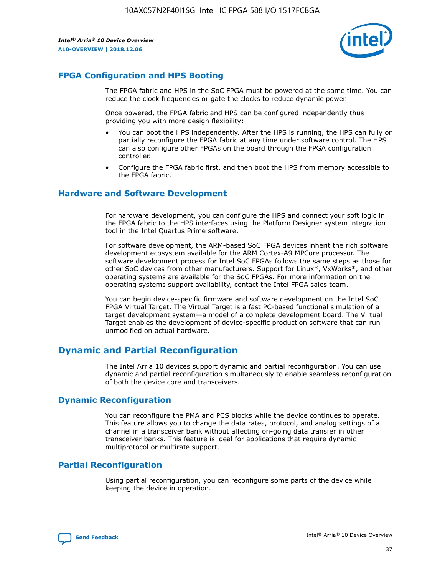

# **FPGA Configuration and HPS Booting**

The FPGA fabric and HPS in the SoC FPGA must be powered at the same time. You can reduce the clock frequencies or gate the clocks to reduce dynamic power.

Once powered, the FPGA fabric and HPS can be configured independently thus providing you with more design flexibility:

- You can boot the HPS independently. After the HPS is running, the HPS can fully or partially reconfigure the FPGA fabric at any time under software control. The HPS can also configure other FPGAs on the board through the FPGA configuration controller.
- Configure the FPGA fabric first, and then boot the HPS from memory accessible to the FPGA fabric.

## **Hardware and Software Development**

For hardware development, you can configure the HPS and connect your soft logic in the FPGA fabric to the HPS interfaces using the Platform Designer system integration tool in the Intel Quartus Prime software.

For software development, the ARM-based SoC FPGA devices inherit the rich software development ecosystem available for the ARM Cortex-A9 MPCore processor. The software development process for Intel SoC FPGAs follows the same steps as those for other SoC devices from other manufacturers. Support for Linux\*, VxWorks\*, and other operating systems are available for the SoC FPGAs. For more information on the operating systems support availability, contact the Intel FPGA sales team.

You can begin device-specific firmware and software development on the Intel SoC FPGA Virtual Target. The Virtual Target is a fast PC-based functional simulation of a target development system—a model of a complete development board. The Virtual Target enables the development of device-specific production software that can run unmodified on actual hardware.

# **Dynamic and Partial Reconfiguration**

The Intel Arria 10 devices support dynamic and partial reconfiguration. You can use dynamic and partial reconfiguration simultaneously to enable seamless reconfiguration of both the device core and transceivers.

# **Dynamic Reconfiguration**

You can reconfigure the PMA and PCS blocks while the device continues to operate. This feature allows you to change the data rates, protocol, and analog settings of a channel in a transceiver bank without affecting on-going data transfer in other transceiver banks. This feature is ideal for applications that require dynamic multiprotocol or multirate support.

# **Partial Reconfiguration**

Using partial reconfiguration, you can reconfigure some parts of the device while keeping the device in operation.

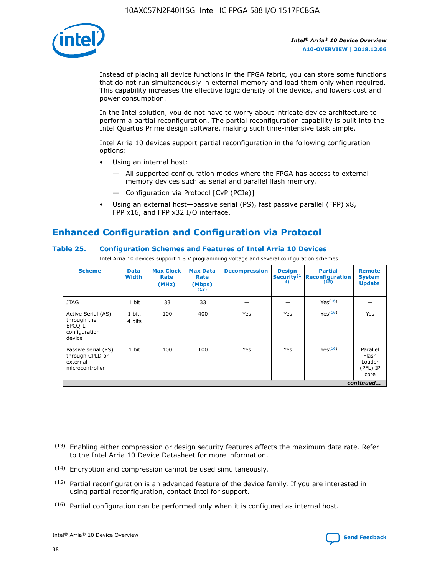

Instead of placing all device functions in the FPGA fabric, you can store some functions that do not run simultaneously in external memory and load them only when required. This capability increases the effective logic density of the device, and lowers cost and power consumption.

In the Intel solution, you do not have to worry about intricate device architecture to perform a partial reconfiguration. The partial reconfiguration capability is built into the Intel Quartus Prime design software, making such time-intensive task simple.

Intel Arria 10 devices support partial reconfiguration in the following configuration options:

- Using an internal host:
	- All supported configuration modes where the FPGA has access to external memory devices such as serial and parallel flash memory.
	- Configuration via Protocol [CvP (PCIe)]
- Using an external host—passive serial (PS), fast passive parallel (FPP) x8, FPP x16, and FPP x32 I/O interface.

# **Enhanced Configuration and Configuration via Protocol**

## **Table 25. Configuration Schemes and Features of Intel Arria 10 Devices**

Intel Arria 10 devices support 1.8 V programming voltage and several configuration schemes.

| <b>Scheme</b>                                                          | <b>Data</b><br><b>Width</b> | <b>Max Clock</b><br>Rate<br>(MHz) | <b>Max Data</b><br>Rate<br>(Mbps)<br>(13) | <b>Decompression</b> | <b>Design</b><br>Security <sup>(1</sup><br>4) | <b>Partial</b><br>Reconfiguration<br>(15) | <b>Remote</b><br><b>System</b><br><b>Update</b> |
|------------------------------------------------------------------------|-----------------------------|-----------------------------------|-------------------------------------------|----------------------|-----------------------------------------------|-------------------------------------------|-------------------------------------------------|
| <b>JTAG</b>                                                            | 1 bit                       | 33                                | 33                                        |                      |                                               | Yes <sup>(16)</sup>                       |                                                 |
| Active Serial (AS)<br>through the<br>EPCO-L<br>configuration<br>device | 1 bit,<br>4 bits            | 100                               | 400                                       | Yes                  | Yes                                           | $Y_{PS}(16)$                              | Yes                                             |
| Passive serial (PS)<br>through CPLD or<br>external<br>microcontroller  | 1 bit                       | 100                               | 100                                       | Yes                  | Yes                                           | Yes(16)                                   | Parallel<br>Flash<br>Loader<br>(PFL) IP<br>core |
|                                                                        |                             |                                   |                                           |                      |                                               |                                           | continued                                       |

<sup>(13)</sup> Enabling either compression or design security features affects the maximum data rate. Refer to the Intel Arria 10 Device Datasheet for more information.

<sup>(14)</sup> Encryption and compression cannot be used simultaneously.

 $(15)$  Partial reconfiguration is an advanced feature of the device family. If you are interested in using partial reconfiguration, contact Intel for support.

 $(16)$  Partial configuration can be performed only when it is configured as internal host.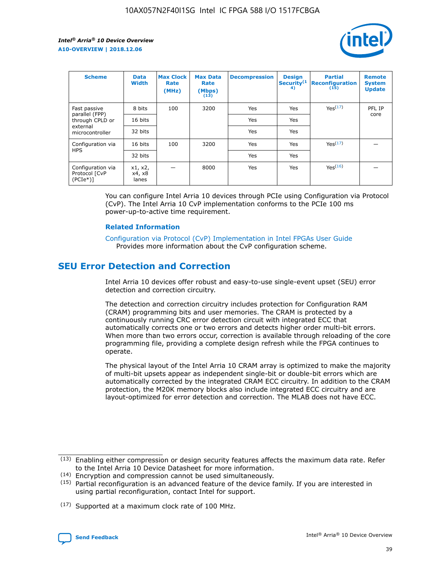

| <b>Scheme</b>                                     | <b>Data</b><br><b>Width</b> | <b>Max Clock</b><br>Rate<br>(MHz) | <b>Max Data</b><br>Rate<br>(Mbps)<br>(13) | <b>Decompression</b> | <b>Design</b><br>Security <sup>(1</sup><br>4) | <b>Partial</b><br><b>Reconfiguration</b><br>(15) | <b>Remote</b><br><b>System</b><br><b>Update</b> |
|---------------------------------------------------|-----------------------------|-----------------------------------|-------------------------------------------|----------------------|-----------------------------------------------|--------------------------------------------------|-------------------------------------------------|
| Fast passive                                      | 8 bits                      | 100                               | 3200                                      | Yes                  | Yes                                           | Yes(17)                                          | PFL IP                                          |
| parallel (FPP)<br>through CPLD or                 | 16 bits                     |                                   |                                           | Yes                  | Yes                                           |                                                  | core                                            |
| external<br>microcontroller                       | 32 bits                     |                                   |                                           | Yes                  | Yes                                           |                                                  |                                                 |
| Configuration via                                 | 16 bits                     | 100                               | 3200                                      | Yes                  | Yes                                           | Yes <sup>(17)</sup>                              |                                                 |
| <b>HPS</b>                                        | 32 bits                     |                                   |                                           | Yes                  | Yes                                           |                                                  |                                                 |
| Configuration via<br>Protocol [CvP<br>$(PCIe*)$ ] | x1, x2,<br>x4, x8<br>lanes  |                                   | 8000                                      | Yes                  | Yes                                           | Yes(16)                                          |                                                 |

You can configure Intel Arria 10 devices through PCIe using Configuration via Protocol (CvP). The Intel Arria 10 CvP implementation conforms to the PCIe 100 ms power-up-to-active time requirement.

#### **Related Information**

[Configuration via Protocol \(CvP\) Implementation in Intel FPGAs User Guide](https://www.intel.com/content/www/us/en/programmable/documentation/dsu1441819344145.html#dsu1442269728522) Provides more information about the CvP configuration scheme.

# **SEU Error Detection and Correction**

Intel Arria 10 devices offer robust and easy-to-use single-event upset (SEU) error detection and correction circuitry.

The detection and correction circuitry includes protection for Configuration RAM (CRAM) programming bits and user memories. The CRAM is protected by a continuously running CRC error detection circuit with integrated ECC that automatically corrects one or two errors and detects higher order multi-bit errors. When more than two errors occur, correction is available through reloading of the core programming file, providing a complete design refresh while the FPGA continues to operate.

The physical layout of the Intel Arria 10 CRAM array is optimized to make the majority of multi-bit upsets appear as independent single-bit or double-bit errors which are automatically corrected by the integrated CRAM ECC circuitry. In addition to the CRAM protection, the M20K memory blocks also include integrated ECC circuitry and are layout-optimized for error detection and correction. The MLAB does not have ECC.

(14) Encryption and compression cannot be used simultaneously.

<sup>(17)</sup> Supported at a maximum clock rate of 100 MHz.



 $(13)$  Enabling either compression or design security features affects the maximum data rate. Refer to the Intel Arria 10 Device Datasheet for more information.

 $(15)$  Partial reconfiguration is an advanced feature of the device family. If you are interested in using partial reconfiguration, contact Intel for support.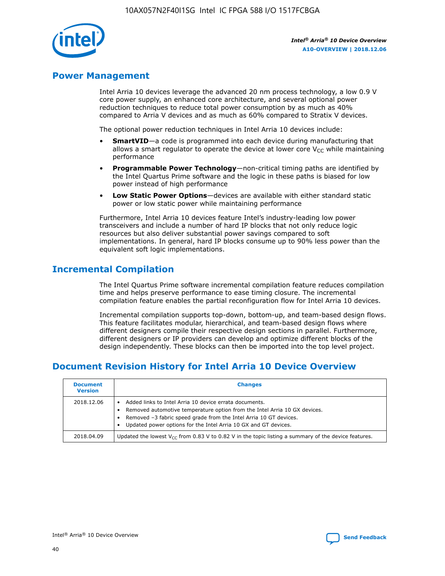

# **Power Management**

Intel Arria 10 devices leverage the advanced 20 nm process technology, a low 0.9 V core power supply, an enhanced core architecture, and several optional power reduction techniques to reduce total power consumption by as much as 40% compared to Arria V devices and as much as 60% compared to Stratix V devices.

The optional power reduction techniques in Intel Arria 10 devices include:

- **SmartVID**—a code is programmed into each device during manufacturing that allows a smart regulator to operate the device at lower core  $V_{CC}$  while maintaining performance
- **Programmable Power Technology**—non-critical timing paths are identified by the Intel Quartus Prime software and the logic in these paths is biased for low power instead of high performance
- **Low Static Power Options**—devices are available with either standard static power or low static power while maintaining performance

Furthermore, Intel Arria 10 devices feature Intel's industry-leading low power transceivers and include a number of hard IP blocks that not only reduce logic resources but also deliver substantial power savings compared to soft implementations. In general, hard IP blocks consume up to 90% less power than the equivalent soft logic implementations.

# **Incremental Compilation**

The Intel Quartus Prime software incremental compilation feature reduces compilation time and helps preserve performance to ease timing closure. The incremental compilation feature enables the partial reconfiguration flow for Intel Arria 10 devices.

Incremental compilation supports top-down, bottom-up, and team-based design flows. This feature facilitates modular, hierarchical, and team-based design flows where different designers compile their respective design sections in parallel. Furthermore, different designers or IP providers can develop and optimize different blocks of the design independently. These blocks can then be imported into the top level project.

# **Document Revision History for Intel Arria 10 Device Overview**

| <b>Document</b><br><b>Version</b> | <b>Changes</b>                                                                                                                                                                                                                                                              |
|-----------------------------------|-----------------------------------------------------------------------------------------------------------------------------------------------------------------------------------------------------------------------------------------------------------------------------|
| 2018.12.06                        | Added links to Intel Arria 10 device errata documents.<br>Removed automotive temperature option from the Intel Arria 10 GX devices.<br>Removed -3 fabric speed grade from the Intel Arria 10 GT devices.<br>Updated power options for the Intel Arria 10 GX and GT devices. |
| 2018.04.09                        | Updated the lowest $V_{CC}$ from 0.83 V to 0.82 V in the topic listing a summary of the device features.                                                                                                                                                                    |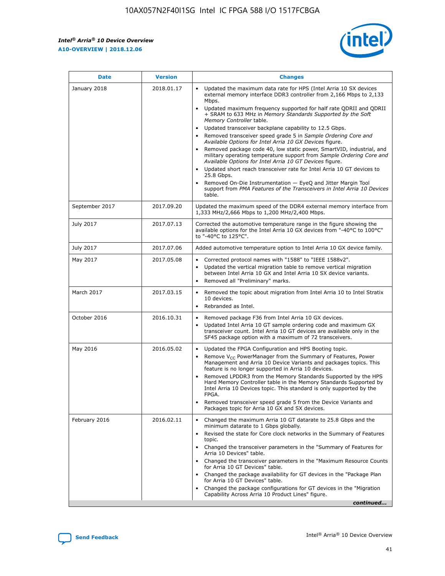*Intel® Arria® 10 Device Overview* **A10-OVERVIEW | 2018.12.06**



| <b>Date</b>    | <b>Version</b> | <b>Changes</b>                                                                                                                                                                                                                                                                                                                                                                                                                                                                                                                                                                                                                                                                                                                                                                                                                                                                                                                                                            |
|----------------|----------------|---------------------------------------------------------------------------------------------------------------------------------------------------------------------------------------------------------------------------------------------------------------------------------------------------------------------------------------------------------------------------------------------------------------------------------------------------------------------------------------------------------------------------------------------------------------------------------------------------------------------------------------------------------------------------------------------------------------------------------------------------------------------------------------------------------------------------------------------------------------------------------------------------------------------------------------------------------------------------|
| January 2018   | 2018.01.17     | Updated the maximum data rate for HPS (Intel Arria 10 SX devices<br>external memory interface DDR3 controller from 2,166 Mbps to 2,133<br>Mbps.<br>Updated maximum frequency supported for half rate QDRII and QDRII<br>+ SRAM to 633 MHz in Memory Standards Supported by the Soft<br>Memory Controller table.<br>Updated transceiver backplane capability to 12.5 Gbps.<br>$\bullet$<br>Removed transceiver speed grade 5 in Sample Ordering Core and<br>Available Options for Intel Arria 10 GX Devices figure.<br>Removed package code 40, low static power, SmartVID, industrial, and<br>military operating temperature support from Sample Ordering Core and<br>Available Options for Intel Arria 10 GT Devices figure.<br>Updated short reach transceiver rate for Intel Arria 10 GT devices to<br>25.8 Gbps.<br>Removed On-Die Instrumentation - EyeQ and Jitter Margin Tool<br>support from PMA Features of the Transceivers in Intel Arria 10 Devices<br>table. |
| September 2017 | 2017.09.20     | Updated the maximum speed of the DDR4 external memory interface from<br>1,333 MHz/2,666 Mbps to 1,200 MHz/2,400 Mbps.                                                                                                                                                                                                                                                                                                                                                                                                                                                                                                                                                                                                                                                                                                                                                                                                                                                     |
| July 2017      | 2017.07.13     | Corrected the automotive temperature range in the figure showing the<br>available options for the Intel Arria 10 GX devices from "-40°C to 100°C"<br>to "-40°C to 125°C".                                                                                                                                                                                                                                                                                                                                                                                                                                                                                                                                                                                                                                                                                                                                                                                                 |
| July 2017      | 2017.07.06     | Added automotive temperature option to Intel Arria 10 GX device family.                                                                                                                                                                                                                                                                                                                                                                                                                                                                                                                                                                                                                                                                                                                                                                                                                                                                                                   |
| May 2017       | 2017.05.08     | Corrected protocol names with "1588" to "IEEE 1588v2".<br>Updated the vertical migration table to remove vertical migration<br>between Intel Arria 10 GX and Intel Arria 10 SX device variants.<br>Removed all "Preliminary" marks.                                                                                                                                                                                                                                                                                                                                                                                                                                                                                                                                                                                                                                                                                                                                       |
| March 2017     | 2017.03.15     | Removed the topic about migration from Intel Arria 10 to Intel Stratix<br>10 devices.<br>Rebranded as Intel.<br>$\bullet$                                                                                                                                                                                                                                                                                                                                                                                                                                                                                                                                                                                                                                                                                                                                                                                                                                                 |
| October 2016   | 2016.10.31     | Removed package F36 from Intel Arria 10 GX devices.<br>Updated Intel Arria 10 GT sample ordering code and maximum GX<br>$\bullet$<br>transceiver count. Intel Arria 10 GT devices are available only in the<br>SF45 package option with a maximum of 72 transceivers.                                                                                                                                                                                                                                                                                                                                                                                                                                                                                                                                                                                                                                                                                                     |
| May 2016       | 2016.05.02     | Updated the FPGA Configuration and HPS Booting topic.<br>Remove V <sub>CC</sub> PowerManager from the Summary of Features, Power<br>Management and Arria 10 Device Variants and packages topics. This<br>feature is no longer supported in Arria 10 devices.<br>Removed LPDDR3 from the Memory Standards Supported by the HPS<br>Hard Memory Controller table in the Memory Standards Supported by<br>Intel Arria 10 Devices topic. This standard is only supported by the<br>FPGA.<br>Removed transceiver speed grade 5 from the Device Variants and<br>Packages topic for Arria 10 GX and SX devices.                                                                                                                                                                                                                                                                                                                                                                   |
| February 2016  | 2016.02.11     | Changed the maximum Arria 10 GT datarate to 25.8 Gbps and the<br>minimum datarate to 1 Gbps globally.<br>Revised the state for Core clock networks in the Summary of Features<br>$\bullet$<br>topic.<br>Changed the transceiver parameters in the "Summary of Features for<br>Arria 10 Devices" table.<br>• Changed the transceiver parameters in the "Maximum Resource Counts<br>for Arria 10 GT Devices" table.<br>• Changed the package availability for GT devices in the "Package Plan<br>for Arria 10 GT Devices" table.<br>Changed the package configurations for GT devices in the "Migration"<br>Capability Across Arria 10 Product Lines" figure.<br>continued                                                                                                                                                                                                                                                                                                  |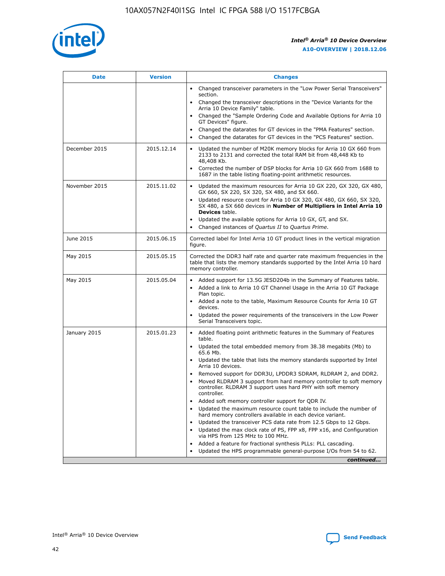

| <b>Date</b>   | <b>Version</b> | <b>Changes</b>                                                                                                                                                               |
|---------------|----------------|------------------------------------------------------------------------------------------------------------------------------------------------------------------------------|
|               |                | • Changed transceiver parameters in the "Low Power Serial Transceivers"<br>section.                                                                                          |
|               |                | • Changed the transceiver descriptions in the "Device Variants for the<br>Arria 10 Device Family" table.                                                                     |
|               |                | Changed the "Sample Ordering Code and Available Options for Arria 10<br>$\bullet$<br>GT Devices" figure.                                                                     |
|               |                | Changed the datarates for GT devices in the "PMA Features" section.                                                                                                          |
|               |                | Changed the datarates for GT devices in the "PCS Features" section.<br>$\bullet$                                                                                             |
| December 2015 | 2015.12.14     | Updated the number of M20K memory blocks for Arria 10 GX 660 from<br>2133 to 2131 and corrected the total RAM bit from 48,448 Kb to<br>48,408 Kb.                            |
|               |                | Corrected the number of DSP blocks for Arria 10 GX 660 from 1688 to<br>1687 in the table listing floating-point arithmetic resources.                                        |
| November 2015 | 2015.11.02     | Updated the maximum resources for Arria 10 GX 220, GX 320, GX 480,<br>$\bullet$<br>GX 660, SX 220, SX 320, SX 480, and SX 660.                                               |
|               |                | • Updated resource count for Arria 10 GX 320, GX 480, GX 660, SX 320,<br>SX 480, a SX 660 devices in Number of Multipliers in Intel Arria 10<br><b>Devices</b> table.        |
|               |                | Updated the available options for Arria 10 GX, GT, and SX.                                                                                                                   |
|               |                | Changed instances of Quartus II to Quartus Prime.<br>$\bullet$                                                                                                               |
| June 2015     | 2015.06.15     | Corrected label for Intel Arria 10 GT product lines in the vertical migration<br>figure.                                                                                     |
| May 2015      | 2015.05.15     | Corrected the DDR3 half rate and quarter rate maximum frequencies in the<br>table that lists the memory standards supported by the Intel Arria 10 hard<br>memory controller. |
| May 2015      | 2015.05.04     | • Added support for 13.5G JESD204b in the Summary of Features table.<br>• Added a link to Arria 10 GT Channel Usage in the Arria 10 GT Package<br>Plan topic.                |
|               |                | • Added a note to the table, Maximum Resource Counts for Arria 10 GT<br>devices.                                                                                             |
|               |                | • Updated the power requirements of the transceivers in the Low Power<br>Serial Transceivers topic.                                                                          |
| January 2015  | 2015.01.23     | • Added floating point arithmetic features in the Summary of Features<br>table.                                                                                              |
|               |                | • Updated the total embedded memory from 38.38 megabits (Mb) to<br>65.6 Mb.                                                                                                  |
|               |                | • Updated the table that lists the memory standards supported by Intel<br>Arria 10 devices.                                                                                  |
|               |                | Removed support for DDR3U, LPDDR3 SDRAM, RLDRAM 2, and DDR2.                                                                                                                 |
|               |                | Moved RLDRAM 3 support from hard memory controller to soft memory<br>controller. RLDRAM 3 support uses hard PHY with soft memory<br>controller.                              |
|               |                | Added soft memory controller support for QDR IV.<br>٠                                                                                                                        |
|               |                | Updated the maximum resource count table to include the number of<br>hard memory controllers available in each device variant.                                               |
|               |                | Updated the transceiver PCS data rate from 12.5 Gbps to 12 Gbps.<br>$\bullet$                                                                                                |
|               |                | Updated the max clock rate of PS, FPP x8, FPP x16, and Configuration<br>via HPS from 125 MHz to 100 MHz.                                                                     |
|               |                | Added a feature for fractional synthesis PLLs: PLL cascading.                                                                                                                |
|               |                | Updated the HPS programmable general-purpose I/Os from 54 to 62.<br>$\bullet$<br>continued                                                                                   |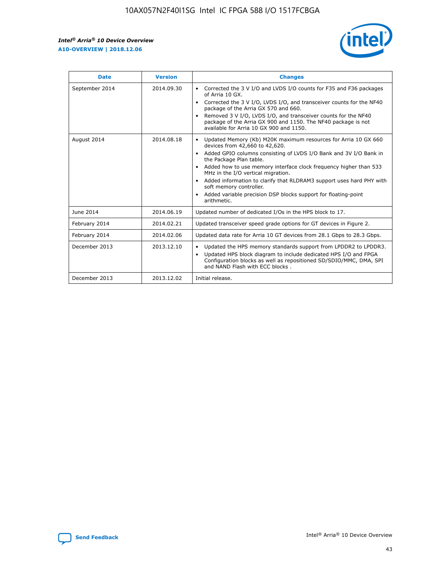r



| <b>Date</b>    | <b>Version</b> | <b>Changes</b>                                                                                                                                                                                                                                                                                                                                                                                                                                                                                                                                      |
|----------------|----------------|-----------------------------------------------------------------------------------------------------------------------------------------------------------------------------------------------------------------------------------------------------------------------------------------------------------------------------------------------------------------------------------------------------------------------------------------------------------------------------------------------------------------------------------------------------|
| September 2014 | 2014.09.30     | Corrected the 3 V I/O and LVDS I/O counts for F35 and F36 packages<br>$\bullet$<br>of Arria 10 GX.<br>Corrected the 3 V I/O, LVDS I/O, and transceiver counts for the NF40<br>$\bullet$<br>package of the Arria GX 570 and 660.<br>Removed 3 V I/O, LVDS I/O, and transceiver counts for the NF40<br>$\bullet$<br>package of the Arria GX 900 and 1150. The NF40 package is not<br>available for Arria 10 GX 900 and 1150.                                                                                                                          |
| August 2014    | 2014.08.18     | Updated Memory (Kb) M20K maximum resources for Arria 10 GX 660<br>devices from 42,660 to 42,620.<br>Added GPIO columns consisting of LVDS I/O Bank and 3V I/O Bank in<br>$\bullet$<br>the Package Plan table.<br>Added how to use memory interface clock frequency higher than 533<br>$\bullet$<br>MHz in the I/O vertical migration.<br>Added information to clarify that RLDRAM3 support uses hard PHY with<br>$\bullet$<br>soft memory controller.<br>Added variable precision DSP blocks support for floating-point<br>$\bullet$<br>arithmetic. |
| June 2014      | 2014.06.19     | Updated number of dedicated I/Os in the HPS block to 17.                                                                                                                                                                                                                                                                                                                                                                                                                                                                                            |
| February 2014  | 2014.02.21     | Updated transceiver speed grade options for GT devices in Figure 2.                                                                                                                                                                                                                                                                                                                                                                                                                                                                                 |
| February 2014  | 2014.02.06     | Updated data rate for Arria 10 GT devices from 28.1 Gbps to 28.3 Gbps.                                                                                                                                                                                                                                                                                                                                                                                                                                                                              |
| December 2013  | 2013.12.10     | Updated the HPS memory standards support from LPDDR2 to LPDDR3.<br>Updated HPS block diagram to include dedicated HPS I/O and FPGA<br>$\bullet$<br>Configuration blocks as well as repositioned SD/SDIO/MMC, DMA, SPI<br>and NAND Flash with ECC blocks.                                                                                                                                                                                                                                                                                            |
| December 2013  | 2013.12.02     | Initial release.                                                                                                                                                                                                                                                                                                                                                                                                                                                                                                                                    |